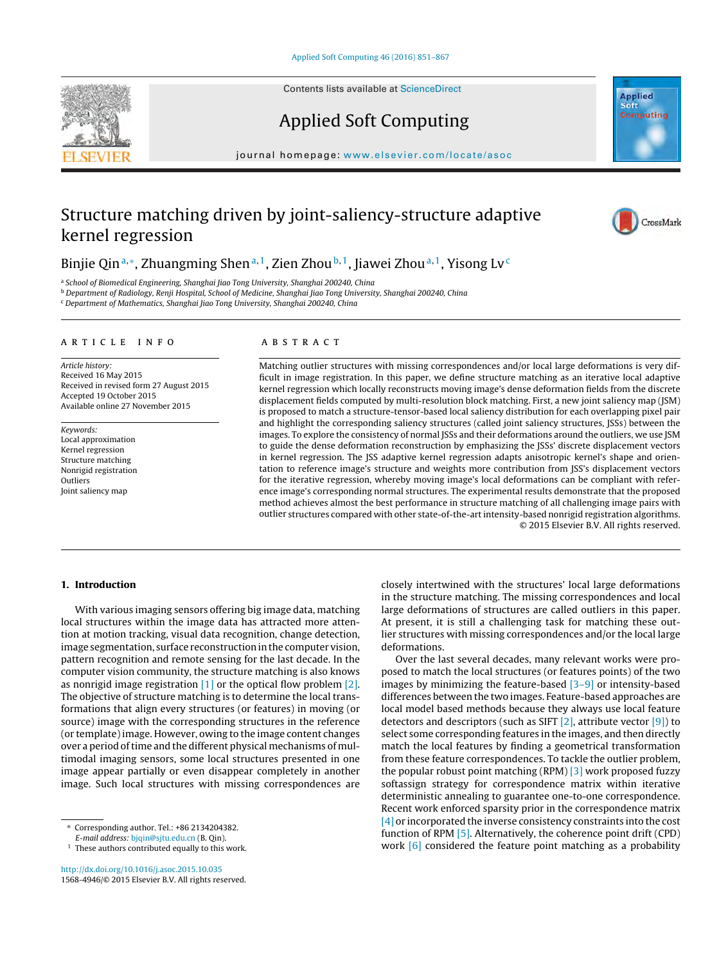Contents lists available at [ScienceDirect](http://www.sciencedirect.com/science/journal/15684946)





CrossMark

# Applied Soft Computing

journal homepage: <www.elsevier.com/locate/asoc>

# Structure matching driven by joint-saliency-structure adaptive kernel regression

# Binjie Qin<sup>a,∗</sup>, Zhuangming Shen<sup>a,1</sup>, Zien Zhou<sup>b,1</sup>, Jiawei Zhou<sup>a,1</sup>, Yisong Lv<sup>c</sup>

<sup>a</sup> School of Biomedical Engineering, Shanghai Jiao Tong University, Shanghai 200240, China

<sup>b</sup> Department of Radiology, Renji Hospital, School of Medicine, Shanghai Jiao Tong University, Shanghai 200240, China

<sup>c</sup> Department of Mathematics, Shanghai Jiao Tong University, Shanghai 200240, China

#### a r t i c l e i n f o

Article history: Received 16 May 2015 Received in revised form 27 August 2015 Accepted 19 October 2015 Available online 27 November 2015

Keywords: Local approximation Kernel regression Structure matching Nonrigid registration Outliers Joint saliency map

# A B S T R A C T

Matching outlier structures with missing correspondences and/or local large deformations is very difficult in image registration. In this paper, we define structure matching as an iterative local adaptive kernel regression which locally reconstructs moving image's dense deformation fields from the discrete displacement fields computed by multi-resolution block matching. First, a new joint saliency map (JSM) is proposed to match a structure-tensor-based local saliency distribution for each overlapping pixel pair and highlight the corresponding saliency structures (called joint saliency structures, JSSs) between the images. To explore the consistency of normal JSSs and their deformations around the outliers, we use JSM to guide the dense deformation reconstruction by emphasizing the JSSs' discrete displacement vectors in kernel regression. The JSS adaptive kernel regression adapts anisotropic kernel's shape and orientation to reference image's structure and weights more contribution from JSS's displacement vectors for the iterative regression, whereby moving image's local deformations can be compliant with reference image's corresponding normal structures. The experimental results demonstrate that the proposed method achieves almost the best performance in structure matching of all challenging image pairs with outlier structures compared with other state-of-the-artintensity-based nonrigid registration algorithms. © 2015 Elsevier B.V. All rights reserved.

## **1. Introduction**

With various imaging sensors offering big image data, matching local structures within the image data has attracted more attention at motion tracking, visual data recognition, change detection, image segmentation, surface reconstruction in the computer vision, pattern recognition and remote sensing for the last decade. In the computer vision community, the structure matching is also knows as nonrigid image registration  $\left[1\right]$  or the optical flow problem  $\left[2\right]$ . The objective of structure matching is to determine the local transformations that align every structures (or features) in moving (or source) image with the corresponding structures in the reference (or template)image. However, owing to the image content changes over a period of time and the different physical mechanisms of multimodal imaging sensors, some local structures presented in one image appear partially or even disappear completely in another image. Such local structures with missing correspondences are

[http://dx.doi.org/10.1016/j.asoc.2015.10.035](dx.doi.org/10.1016/j.asoc.2015.10.035) 1568-4946/© 2015 Elsevier B.V. All rights reserved. closely intertwined with the structures' local large deformations in the structure matching. The missing correspondences and local large deformations of structures are called outliers in this paper. At present, it is still a challenging task for matching these outlier structures with missing correspondences and/or the local large deformations.

Over the last several decades, many relevant works were proposed to match the local structures (or features points) of the two images by minimizing the feature-based [\[3–9\]](#page-15-0) or intensity-based differences between the two images. Feature-based approaches are local model based methods because they always use local feature detectors and descriptors (such as SIFT  $[2]$ , attribute vector  $[9]$ ) to select some corresponding features in the images, and then directly match the local features by finding a geometrical transformation from these feature correspondences. To tackle the outlier problem, the popular robust point matching (RPM) [\[3\]](#page-15-0) work proposed fuzzy softassign strategy for correspondence matrix within iterative deterministic annealing to guarantee one-to-one correspondence. Recent work enforced sparsity prior in the correspondence matrix [\[4\]](#page-15-0) or incorporated the inverse consistency constraints into the cost function of RPM [\[5\].](#page-15-0) Alternatively, the coherence point drift (CPD) work [\[6\]](#page-15-0) considered the feature point matching as a probability

<sup>∗</sup> Corresponding author. Tel.: +86 2134204382.

E-mail address: [bjqin@sjtu.edu.cn](mailto:bjqin@sjtu.edu.cn) (B. Qin).

 $1$  These authors contributed equally to this work.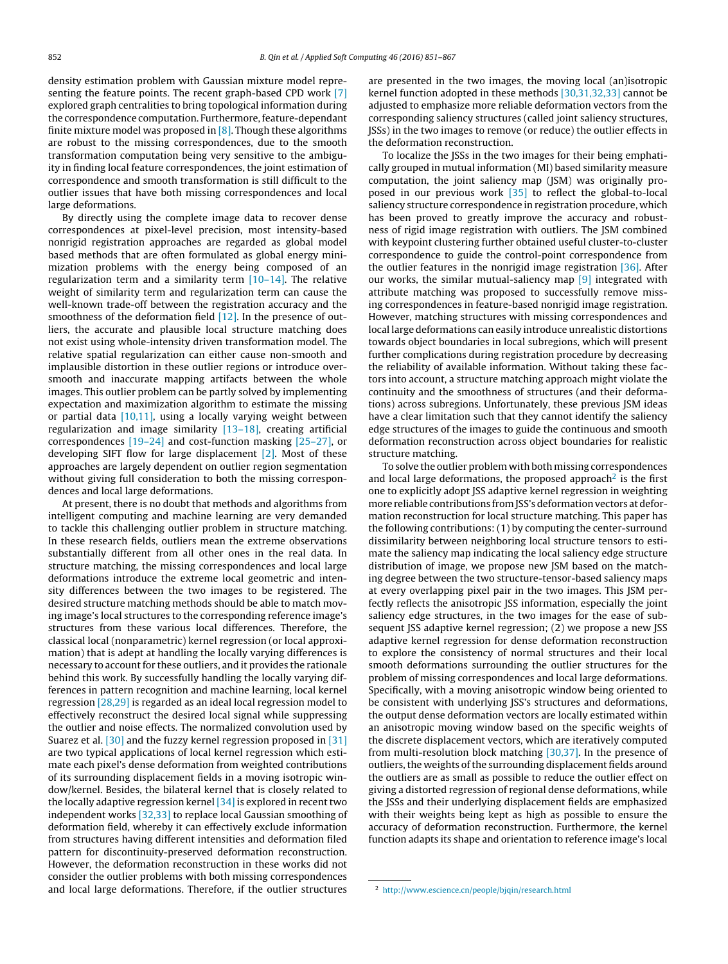density estimation problem with Gaussian mixture model representing the feature points. The recent graph-based CPD work [\[7\]](#page-15-0) explored graph centralities to bring topological information during the correspondence computation. Furthermore, feature-dependant finite mixture model was proposed in  $[8]$ . Though these algorithms are robust to the missing correspondences, due to the smooth transformation computation being very sensitive to the ambiguity in finding local feature correspondences, the joint estimation of correspondence and smooth transformation is still difficult to the outlier issues that have both missing correspondences and local large deformations.

By directly using the complete image data to recover dense correspondences at pixel-level precision, most intensity-based nonrigid registration approaches are regarded as global model based methods that are often formulated as global energy minimization problems with the energy being composed of an regularization term and a similarity term [\[10–14\].](#page-16-0) The relative weight of similarity term and regularization term can cause the well-known trade-off between the registration accuracy and the smoothness of the deformation field  $[12]$ . In the presence of outliers, the accurate and plausible local structure matching does not exist using whole-intensity driven transformation model. The relative spatial regularization can either cause non-smooth and implausible distortion in these outlier regions or introduce oversmooth and inaccurate mapping artifacts between the whole images. This outlier problem can be partly solved by implementing expectation and maximization algorithm to estimate the missing or partial data  $[10,11]$ , using a locally varying weight between regularization and image similarity [\[13–18\],](#page-16-0) creating artificial correspondences [\[19–24\]](#page-16-0) and cost-function masking [\[25–27\],](#page-16-0) or developing SIFT flow for large displacement [\[2\].](#page-15-0) Most of these approaches are largely dependent on outlier region segmentation without giving full consideration to both the missing correspondences and local large deformations.

At present, there is no doubt that methods and algorithms from intelligent computing and machine learning are very demanded to tackle this challenging outlier problem in structure matching. In these research fields, outliers mean the extreme observations substantially different from all other ones in the real data. In structure matching, the missing correspondences and local large deformations introduce the extreme local geometric and intensity differences between the two images to be registered. The desired structure matching methods should be able to match moving image's local structures to the corresponding reference image's structures from these various local differences. Therefore, the classical local (nonparametric) kernel regression (or local approximation) that is adept at handling the locally varying differences is necessary to account for these outliers, and it provides the rationale behind this work. By successfully handling the locally varying differences in pattern recognition and machine learning, local kernel regression [\[28,29\]](#page-16-0) is regarded as an ideal local regression model to effectively reconstruct the desired local signal while suppressing the outlier and noise effects. The normalized convolution used by Suarez et al. [\[30\]](#page-16-0) and the fuzzy kernel regression proposed in [\[31\]](#page-16-0) are two typical applications of local kernel regression which estimate each pixel's dense deformation from weighted contributions of its surrounding displacement fields in a moving isotropic window/kernel. Besides, the bilateral kernel that is closely related to the locally adaptive regression kernel  $[34]$  is explored in recent two independent works [\[32,33\]](#page-16-0) to replace local Gaussian smoothing of deformation field, whereby it can effectively exclude information from structures having different intensities and deformation filed pattern for discontinuity-preserved deformation reconstruction. However, the deformation reconstruction in these works did not consider the outlier problems with both missing correspondences and local large deformations. Therefore, if the outlier structures

are presented in the two images, the moving local (an)isotropic kernel function adopted in these methods [\[30,31,32,33\]](#page-16-0) cannot be adjusted to emphasize more reliable deformation vectors from the corresponding saliency structures (called joint saliency structures, JSSs) in the two images to remove (or reduce) the outlier effects in the deformation reconstruction.

To localize the JSSs in the two images for their being emphatically grouped in mutual information (MI) based similarity measure computation, the joint saliency map (JSM) was originally proposed in our previous work [\[35\]](#page-16-0) to reflect the global-to-local saliency structure correspondence in registration procedure, which has been proved to greatly improve the accuracy and robustness of rigid image registration with outliers. The JSM combined with keypoint clustering further obtained useful cluster-to-cluster correspondence to guide the control-point correspondence from the outlier features in the nonrigid image registration [\[36\].](#page-16-0) After our works, the similar mutual-saliency map  $[9]$  integrated with attribute matching was proposed to successfully remove missing correspondences in feature-based nonrigid image registration. However, matching structures with missing correspondences and local large deformations can easily introduce unrealistic distortions towards object boundaries in local subregions, which will present further complications during registration procedure by decreasing the reliability of available information. Without taking these factors into account, a structure matching approach might violate the continuity and the smoothness of structures (and their deformations) across subregions. Unfortunately, these previous JSM ideas have a clear limitation such that they cannot identify the saliency edge structures of the images to guide the continuous and smooth deformation reconstruction across object boundaries for realistic structure matching.

To solve the outlier problem with both missing correspondences and local large deformations, the proposed approach<sup>2</sup> is the first one to explicitly adopt JSS adaptive kernel regression in weighting more reliable contributions from JSS's deformation vectors at deformation reconstruction for local structure matching. This paper has the following contributions: (1) by computing the center-surround dissimilarity between neighboring local structure tensors to estimate the saliency map indicating the local saliency edge structure distribution of image, we propose new JSM based on the matching degree between the two structure-tensor-based saliency maps at every overlapping pixel pair in the two images. This JSM perfectly reflects the anisotropic JSS information, especially the joint saliency edge structures, in the two images for the ease of subsequent JSS adaptive kernel regression; (2) we propose a new JSS adaptive kernel regression for dense deformation reconstruction to explore the consistency of normal structures and their local smooth deformations surrounding the outlier structures for the problem of missing correspondences and local large deformations. Specifically, with a moving anisotropic window being oriented to be consistent with underlying JSS's structures and deformations, the output dense deformation vectors are locally estimated within an anisotropic moving window based on the specific weights of the discrete displacement vectors, which are iteratively computed from multi-resolution block matching [\[30,37\].](#page-16-0) In the presence of outliers, the weights of the surrounding displacement fields around the outliers are as small as possible to reduce the outlier effect on giving a distorted regression of regional dense deformations, while the JSSs and their underlying displacement fields are emphasized with their weights being kept as high as possible to ensure the accuracy of deformation reconstruction. Furthermore, the kernel function adapts its shape and orientation to reference image's local

<sup>2</sup> <http://www.escience.cn/people/bjqin/research.html>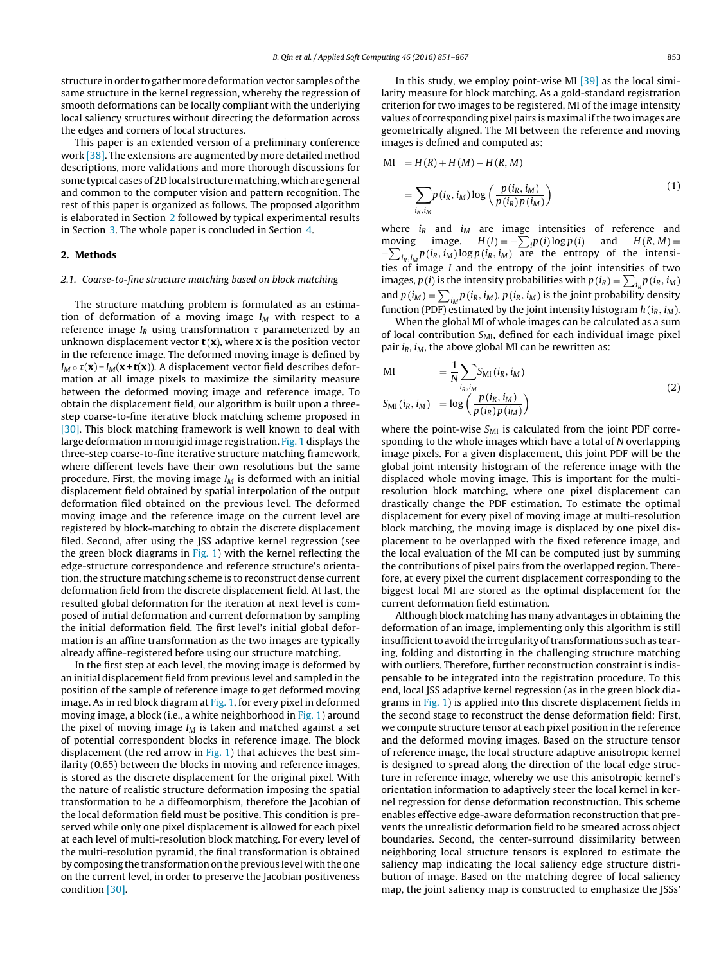structure in order to gather more deformation vector samples ofthe same structure in the kernel regression, whereby the regression of smooth deformations can be locally compliant with the underlying local saliency structures without directing the deformation across the edges and corners of local structures.

This paper is an extended version of a preliminary conference work [\[38\].](#page-16-0) The extensions are augmented by more detailed method descriptions, more validations and more thorough discussions for some typical cases of 2D local structure matching, which are general and common to the computer vision and pattern recognition. The rest of this paper is organized as follows. The proposed algorithm is elaborated in Section 2 followed by typical experimental results in Section [3.](#page-8-0) The whole paper is concluded in Section [4.](#page-15-0)

# **2. Methods**

## 2.1. Coarse-to-fine structure matching based on block matching

The structure matching problem is formulated as an estimation of deformation of a moving image  $I_M$  with respect to a reference image  $I_R$  using transformation  $\tau$  parameterized by an unknown displacement vector  $t(x)$ , where **x** is the position vector in the reference image. The deformed moving image is defined by  $I_M \circ \tau(\mathbf{x})$ = $I_M(\mathbf{x+ t(x)})$ . A displacement vector field describes deformation at all image pixels to maximize the similarity measure between the deformed moving image and reference image. To obtain the displacement field, our algorithm is built upon a threestep coarse-to-fine iterative block matching scheme proposed in [\[30\].](#page-16-0) This block matching framework is well known to deal with large deformation in nonrigid image registration. [Fig.](#page-3-0) 1 displays the three-step coarse-to-fine iterative structure matching framework, where different levels have their own resolutions but the same procedure. First, the moving image  $I_M$  is deformed with an initial displacement field obtained by spatial interpolation of the output deformation filed obtained on the previous level. The deformed moving image and the reference image on the current level are registered by block-matching to obtain the discrete displacement filed. Second, after using the JSS adaptive kernel regression (see the green block diagrams in [Fig.](#page-3-0) 1) with the kernel reflecting the edge-structure correspondence and reference structure's orientation, the structure matching scheme is to reconstruct dense current deformation field from the discrete displacement field. At last, the resulted global deformation for the iteration at next level is composed of initial deformation and current deformation by sampling the initial deformation field. The first level's initial global deformation is an affine transformation as the two images are typically already affine-registered before using our structure matching.

In the first step at each level, the moving image is deformed by an initial displacement field from previous level and sampled in the position of the sample of reference image to get deformed moving image. As in red block diagram at [Fig.](#page-3-0) 1, for every pixel in deformed moving image, a block (i.e., a white neighborhood in [Fig.](#page-3-0) 1) around the pixel of moving image  $I_M$  is taken and matched against a set of potential correspondent blocks in reference image. The block displacement (the red arrow in [Fig.](#page-3-0) 1) that achieves the best similarity (0.65) between the blocks in moving and reference images, is stored as the discrete displacement for the original pixel. With the nature of realistic structure deformation imposing the spatial transformation to be a diffeomorphism, therefore the Jacobian of the local deformation field must be positive. This condition is preserved while only one pixel displacement is allowed for each pixel at each level of multi-resolution block matching. For every level of the multi-resolution pyramid, the final transformation is obtained by composing the transformation on the previous level with the one on the current level, in order to preserve the Jacobian positiveness condition [\[30\].](#page-16-0)

In this study, we employ point-wise MI  $[39]$  as the local similarity measure for block matching. As a gold-standard registration criterion for two images to be registered, MI of the image intensity values of corresponding pixel pairs is maximal ifthe two images are geometrically aligned. The MI between the reference and moving images is defined and computed as:

MI = H(R) + H(M) – H(R, M)  
= 
$$
\sum_{i_R, i_M} p(i_R, i_M) \log \left( \frac{p(i_R, i_M)}{p(i_R) p(i_M)} \right)
$$
(1)

where  $i_R$  and  $i_M$  are image intensities of reference and moving image.  $H(I) = -\sum_i p(i) \log p(i)$  and  $H(R, M) =$  $-\sum_{i_R,i_M} p(i_R,i_M) \log p(i_R,i_M)$  are the entropy of the intensities of image I and the entropy of the joint intensities of two images,  $p(i)$  is the intensity probabilities with  $p(i_R) = \sum_{i_R} p(i_R, i_M)$ and  $p(i_M) = \sum_{i_M} p(i_R, i_M)$ ,  $p(i_R, i_M)$  is the joint probability density function (PDF) estimated by the joint intensity histogram  $h(i_R, i_M)$ .

When the global MI of whole images can be calculated as a sum of local contribution  $S_{\text{MI}}$ , defined for each individual image pixel pair  $i_R$ ,  $i_M$ , the above global MI can be rewritten as:

$$
\begin{aligned}\n\text{MI} &= \frac{1}{N} \sum_{i_R, i_M} \text{S}_{\text{MI}}(i_R, i_M) \\
\text{S}_{\text{MI}}(i_R, i_M) &= \log \left( \frac{p(i_R, i_M)}{p(i_R) p(i_M)} \right)\n\end{aligned} \tag{2}
$$

where the point-wise  $S_{\text{MI}}$  is calculated from the joint PDF corresponding to the whole images which have a total of N overlapping image pixels. For a given displacement, this joint PDF will be the global joint intensity histogram of the reference image with the displaced whole moving image. This is important for the multiresolution block matching, where one pixel displacement can drastically change the PDF estimation. To estimate the optimal displacement for every pixel of moving image at multi-resolution block matching, the moving image is displaced by one pixel displacement to be overlapped with the fixed reference image, and the local evaluation of the MI can be computed just by summing the contributions of pixel pairs from the overlapped region. Therefore, at every pixel the current displacement corresponding to the biggest local MI are stored as the optimal displacement for the current deformation field estimation.

Although block matching has many advantages in obtaining the deformation of an image, implementing only this algorithm is still insufficient to avoid the irregularity of transformations such as tearing, folding and distorting in the challenging structure matching with outliers. Therefore, further reconstruction constraint is indispensable to be integrated into the registration procedure. To this end, local JSS adaptive kernel regression (as in the green block diagrams in [Fig.](#page-3-0) 1) is applied into this discrete displacement fields in the second stage to reconstruct the dense deformation field: First, we compute structure tensor at each pixel position in the reference and the deformed moving images. Based on the structure tensor of reference image, the local structure adaptive anisotropic kernel is designed to spread along the direction of the local edge structure in reference image, whereby we use this anisotropic kernel's orientation information to adaptively steer the local kernel in kernel regression for dense deformation reconstruction. This scheme enables effective edge-aware deformation reconstruction that prevents the unrealistic deformation field to be smeared across object boundaries. Second, the center-surround dissimilarity between neighboring local structure tensors is explored to estimate the saliency map indicating the local saliency edge structure distribution of image. Based on the matching degree of local saliency map, the joint saliency map is constructed to emphasize the JSSs'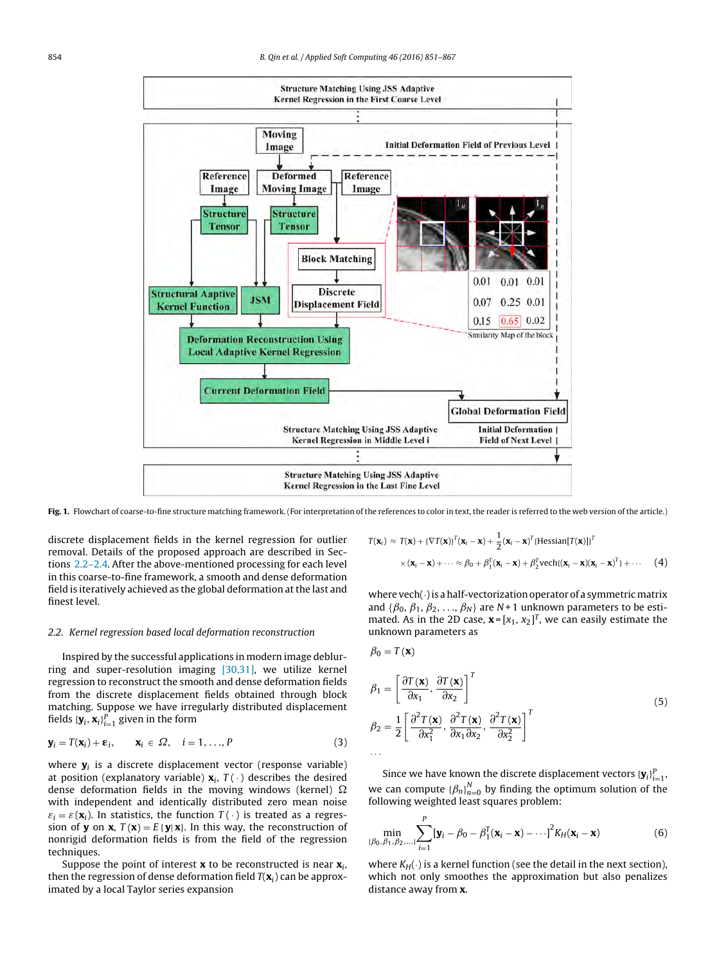<span id="page-3-0"></span>

Fig. 1. Flowchart of coarse-to-fine structure matching framework. (For interpretation of the references to color in text, the reader is referred to the web version of the article.)

discrete displacement fields in the kernel regression for outlier removal. Details of the proposed approach are described in Sections 2.2–2.4. After the above-mentioned processing for each level in this coarse-to-fine framework, a smooth and dense deformation field is iteratively achieved as the global deformation at the last and finest level.

#### 2.2. Kernel regression based local deformation reconstruction

Inspired by the successful applications in modern image deblurring and super-resolution imaging [\[30,31\],](#page-16-0) we utilize kernel regression to reconstruct the smooth and dense deformation fields from the discrete displacement fields obtained through block matching. Suppose we have irregularly distributed displacement fields  $\left\{\mathbf{y}_i, \mathbf{x}_i\right\}_{i=1}^P$  given in the form

$$
\mathbf{y}_i = T(\mathbf{x}_i) + \mathbf{\varepsilon}_i, \qquad \mathbf{x}_i \in \Omega, \quad i = 1, \dots, P
$$
 (3)

where  $\mathbf{y}_i$  is a discrete displacement vector (response variable) at position (explanatory variable)  $\mathbf{x}_i$ ,  $T(\cdot)$  describes the desired dense deformation fields in the moving windows (kernel)  $\Omega$ with independent and identically distributed zero mean noise  $\varepsilon_i = \varepsilon(\mathbf{x}_i)$ . In statistics, the function  $T(\cdot)$  is treated as a regression of **y** on **x**,  $T(\mathbf{x}) = E\{\mathbf{y} | \mathbf{x}\}\)$ . In this way, the reconstruction of nonrigid deformation fields is from the field of the regression techniques.

Suppose the point of interest  $\mathbf{x}$  to be reconstructed is near  $\mathbf{x}_i$ , then the regression of dense deformation field  $T(\mathbf{x}_i)$  can be approximated by a local Taylor series expansion

$$
T(\mathbf{x}_i) \approx T(\mathbf{x}) + {\{\nabla T(\mathbf{x})\}}^T(\mathbf{x}_i - \mathbf{x}) + \frac{1}{2}(\mathbf{x}_i - \mathbf{x})^T{\{\text{Hessian}[T(\mathbf{x})]\}}^T
$$
  
 
$$
\times (\mathbf{x}_i - \mathbf{x}) + \cdots \approx \beta_0 + \beta_1^T(\mathbf{x}_i - \mathbf{x}) + \beta_2^T \text{vech}\{(\mathbf{x}_i - \mathbf{x})(\mathbf{x}_i - \mathbf{x})^T\} + \cdots
$$
 (4)

where vech $(\cdot)$  is a half-vectorization operator of a symmetric matrix and { $\beta_0$ ,  $\beta_1$ ,  $\beta_2$ , ...,  $\beta_N$ } are N + 1 unknown parameters to be estimated. As in the 2D case,  $\mathbf{x} = [x_1, x_2]^T$ , we can easily estimate the unknown parameters as

$$
\beta_0 = T(\mathbf{x})
$$
\n
$$
\beta_1 = \left[ \frac{\partial T(\mathbf{x})}{\partial x_1}, \frac{\partial T(\mathbf{x})}{\partial x_2} \right]^T
$$
\n
$$
\beta_2 = \frac{1}{2} \left[ \frac{\partial^2 T(\mathbf{x})}{\partial x_1^2}, \frac{\partial^2 T(\mathbf{x})}{\partial x_1 \partial x_2}, \frac{\partial^2 T(\mathbf{x})}{\partial x_2^2} \right]^T
$$
\n
$$
\dots \tag{5}
$$

Since we have known the discrete displacement vectors  ${\{\mathbf{y}_i\}}_{i=1}^P$ , we can compute  ${\{\beta_n\}}_{n=0}^N$  by finding the optimum solution of the following weighted least squares problem:

$$
\min_{\{\beta_0,\beta_1,\beta_2,\ldots\}} \sum_{i=1}^P [\mathbf{y}_i - \beta_0 - \beta_1^T(\mathbf{x}_i - \mathbf{x}) - \cdots]^2 K_H(\mathbf{x}_i - \mathbf{x}) \tag{6}
$$

where  $K_H(\cdot)$  is a kernel function (see the detail in the next section), which not only smoothes the approximation but also penalizes distance away from **x**.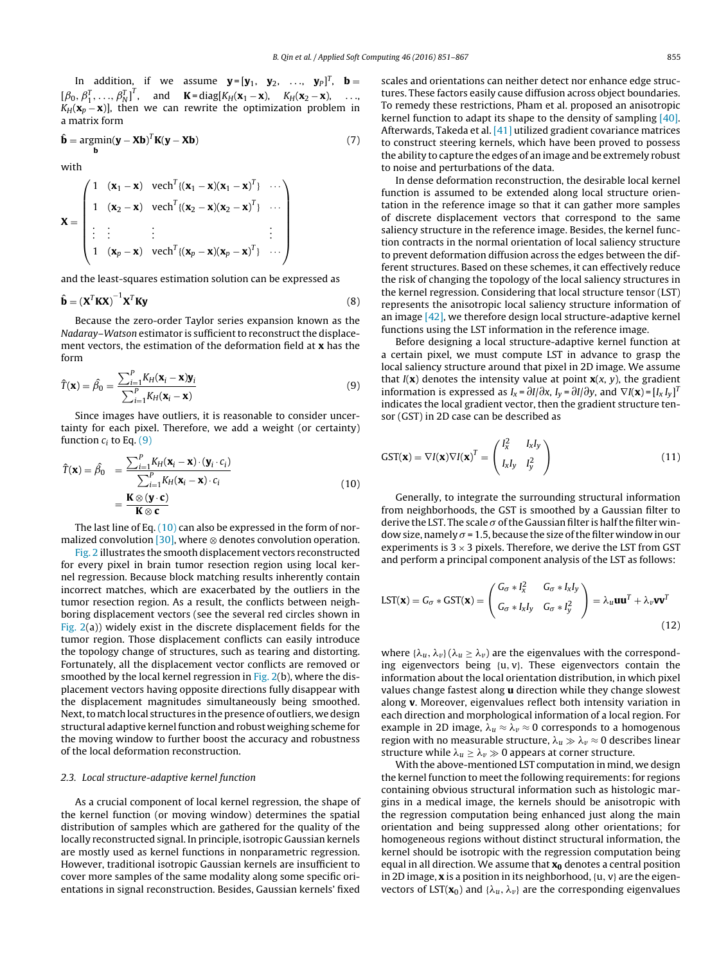<span id="page-4-0"></span>In addition, if we assume  $\mathbf{y} = [\mathbf{y}_1, \mathbf{y}_2, \dots, \mathbf{y}_P]^T$ ,  $\mathbf{b} =$  $[\beta_0, \beta_1^T, \ldots, \beta_N^T]^T$ , and **K** = diag[ $K_H(\mathbf{x}_1 - \mathbf{x})$ ,  $K_H(\mathbf{x}_2 - \mathbf{x})$ , ...  $K_H(\mathbf{x}_p - \mathbf{x})$ , then we can rewrite the optimization problem in a matrix form

$$
\hat{\mathbf{b}} = \underset{\mathbf{b}}{\operatorname{argmin}} (\mathbf{y} - \mathbf{X}\mathbf{b})^T \mathbf{K} (\mathbf{y} - \mathbf{X}\mathbf{b})
$$
(7)

with

$$
\mathbf{X} = \begin{pmatrix} 1 & (\mathbf{x}_1 - \mathbf{x}) & \text{vech}^T \{ (\mathbf{x}_1 - \mathbf{x}) (\mathbf{x}_1 - \mathbf{x})^T \} & \cdots \\ 1 & (\mathbf{x}_2 - \mathbf{x}) & \text{vech}^T \{ (\mathbf{x}_2 - \mathbf{x}) (\mathbf{x}_2 - \mathbf{x})^T \} & \cdots \\ \vdots & \vdots & \vdots & \vdots \\ 1 & (\mathbf{x}_p - \mathbf{x}) & \text{vech}^T \{ (\mathbf{x}_p - \mathbf{x}) (\mathbf{x}_p - \mathbf{x})^T \} & \cdots \end{pmatrix}
$$

and the least-squares estimation solution can be expressed as

$$
\hat{\mathbf{b}} = \left(\mathbf{X}^T \mathbf{K} \mathbf{X}\right)^{-1} \mathbf{X}^T \mathbf{K} \mathbf{y} \tag{8}
$$

Because the zero-order Taylor series expansion known as the Nadaray–Watson estimator is sufficient to reconstruct the displacement vectors, the estimation of the deformation field at **x** has the form

$$
\hat{T}(\mathbf{x}) = \hat{\beta}_0 = \frac{\sum_{i=1}^P K_H(\mathbf{x}_i - \mathbf{x}) \mathbf{y}_i}{\sum_{i=1}^P K_H(\mathbf{x}_i - \mathbf{x})}
$$
(9)

Since images have outliers, it is reasonable to consider uncertainty for each pixel. Therefore, we add a weight (or certainty) function  $c_i$  to Eq. (9)

$$
\hat{T}(\mathbf{x}) = \hat{\beta}_0 = \frac{\sum_{i=1}^P K_H(\mathbf{x}_i - \mathbf{x}) \cdot (\mathbf{y}_i \cdot c_i)}{\sum_{i=1}^P K_H(\mathbf{x}_i - \mathbf{x}) \cdot c_i} = \frac{\mathbf{K} \otimes (\mathbf{y} \cdot \mathbf{c})}{\mathbf{K} \otimes \mathbf{c}}
$$
\n(10)

The last line of Eq. (10) can also be expressed in the form of normalized convolution  $[30]$ , where ⊗ denotes convolution operation.

[Fig.](#page-5-0) 2 illustrates the smooth displacement vectors reconstructed for every pixel in brain tumor resection region using local kernel regression. Because block matching results inherently contain incorrect matches, which are exacerbated by the outliers in the tumor resection region. As a result, the conflicts between neighboring displacement vectors (see the several red circles shown in [Fig.](#page-5-0) 2(a)) widely exist in the discrete displacement fields for the tumor region. Those displacement conflicts can easily introduce the topology change of structures, such as tearing and distorting. Fortunately, all the displacement vector conflicts are removed or smoothed by the local kernel regression in  $Fig. 2(b)$  $Fig. 2(b)$ , where the displacement vectors having opposite directions fully disappear with the displacement magnitudes simultaneously being smoothed. Next, to match local structures in the presence of outliers, we design structural adaptive kernel function and robust weighing scheme for the moving window to further boost the accuracy and robustness of the local deformation reconstruction.

# 2.3. Local structure-adaptive kernel function

As a crucial component of local kernel regression, the shape of the kernel function (or moving window) determines the spatial distribution of samples which are gathered for the quality of the locally reconstructed signal. In principle, isotropic Gaussian kernels are mostly used as kernel functions in nonparametric regression. However, traditional isotropic Gaussian kernels are insufficient to cover more samples of the same modality along some specific orientations in signal reconstruction. Besides, Gaussian kernels' fixed

scales and orientations can neither detect nor enhance edge structures. These factors easily cause diffusion across object boundaries. To remedy these restrictions, Pham et al. proposed an anisotropic kernel function to adapt its shape to the density of sampling [\[40\].](#page-16-0) Afterwards, Takeda et al. [\[41\]](#page-16-0) utilized gradient covariance matrices to construct steering kernels, which have been proved to possess the ability to capture the edges of an image and be extremely robust to noise and perturbations of the data.

In dense deformation reconstruction, the desirable local kernel function is assumed to be extended along local structure orientation in the reference image so that it can gather more samples of discrete displacement vectors that correspond to the same saliency structure in the reference image. Besides, the kernel function contracts in the normal orientation of local saliency structure to prevent deformation diffusion across the edges between the different structures. Based on these schemes, it can effectively reduce the risk of changing the topology of the local saliency structures in the kernel regression. Considering that local structure tensor (LST) represents the anisotropic local saliency structure information of an image [\[42\],](#page-16-0) we therefore design local structure-adaptive kernel functions using the LST information in the reference image.

Before designing a local structure-adaptive kernel function at a certain pixel, we must compute LST in advance to grasp the local saliency structure around that pixel in 2D image. We assume that  $I(x)$  denotes the intensity value at point  $x(x, y)$ , the gradient information is expressed as  $I_x = \partial I / \partial x$ ,  $I_y = \partial I / \partial y$ , and  $\nabla I(\mathbf{x}) = [I_x I_y]^T$ indicates the local gradient vector, then the gradient structure tensor (GST) in 2D case can be described as

$$
GST(\mathbf{x}) = \nabla I(\mathbf{x})\nabla I(\mathbf{x})^T = \begin{pmatrix} I_x^2 & I_xI_y \\ I_xI_y & I_y^2 \end{pmatrix}
$$
(11)

Generally, to integrate the surrounding structural information from neighborhoods, the GST is smoothed by a Gaussian filter to derive the LST. The scale  $\sigma$  of the Gaussian filter is half the filter window size, namely  $\sigma$  = 1.5, because the size of the filter window in our experiments is  $3 \times 3$  pixels. Therefore, we derive the LST from GST and perform a principal component analysis of the LST as follows:

$$
LST(\mathbf{x}) = G_{\sigma} * GST(\mathbf{x}) = \begin{pmatrix} G_{\sigma} * I_{\mathbf{x}}^2 & G_{\sigma} * I_{\mathbf{x}} I_{\mathbf{y}} \\ G_{\sigma} * I_{\mathbf{x}} I_{\mathbf{y}} & G_{\sigma} * I_{\mathbf{y}}^2 \end{pmatrix} = \lambda_u \mathbf{u} \mathbf{u}^T + \lambda_v \mathbf{v} \mathbf{v}^T
$$
\n(12)

where  $\{\lambda_u, \lambda_v\}$  ( $\lambda_u \geq \lambda_v$ ) are the eigenvalues with the corresponding eigenvectors being  $\{u, v\}$ . These eigenvectors contain the information about the local orientation distribution, in which pixel values change fastest along **u** direction while they change slowest along **v**. Moreover, eigenvalues reflect both intensity variation in each direction and morphological information of a local region. For example in 2D image,  $\lambda_u \approx \lambda_v \approx 0$  corresponds to a homogenous region with no measurable structure,  $\lambda_u \gg \lambda_v \approx 0$  describes linear structure while  $\lambda_u \geq \lambda_v \gg 0$  appears at corner structure.

With the above-mentioned LST computation in mind, we design the kernel function to meet the following requirements: for regions containing obvious structural information such as histologic margins in a medical image, the kernels should be anisotropic with the regression computation being enhanced just along the main orientation and being suppressed along other orientations; for homogeneous regions without distinct structural information, the kernel should be isotropic with the regression computation being equal in all direction. We assume that **x**<sup>0</sup> denotes a central position in 2D image, **x** is a position in its neighborhood, {u, v} are the eigenvectors of LST( $\mathbf{x}_0$ ) and { $\lambda_u$ ,  $\lambda_v$ } are the corresponding eigenvalues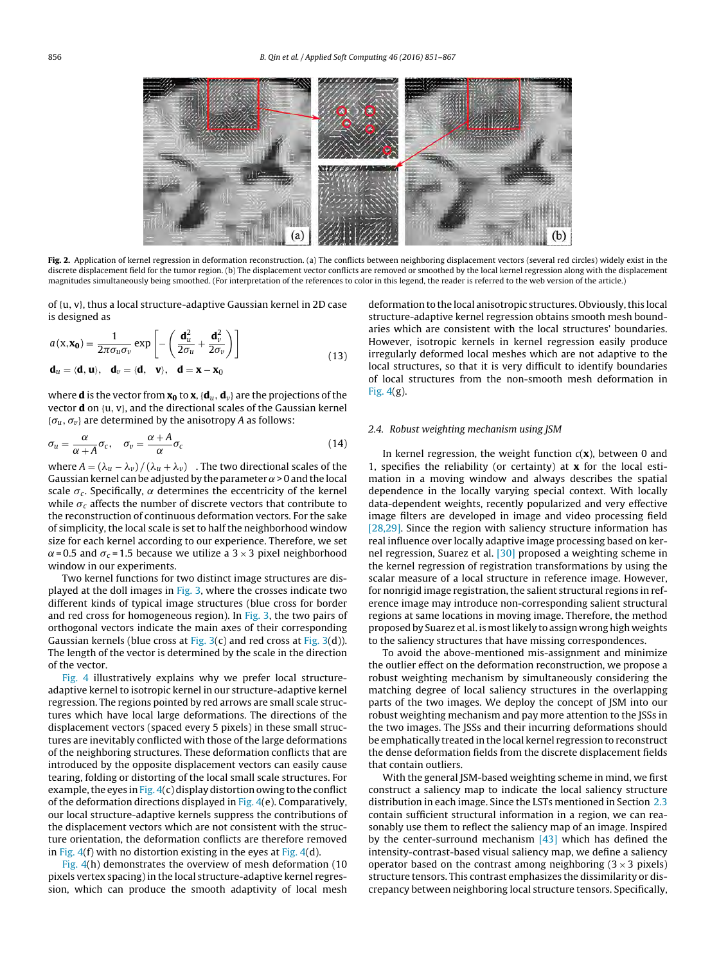<span id="page-5-0"></span>

**Fig. 2.** Application of kernel regression in deformation reconstruction. (a) The conflicts between neighboring displacement vectors (several red circles) widely exist in the discrete displacement field for the tumor region. (b) The displacement vector conflicts are removed or smoothed by the local kernel regression along with the displacement magnitudes simultaneously being smoothed. (For interpretation of the references to color in this legend, the reader is referred to the web version of the article.)

of {u, v}, thus a local structure-adaptive Gaussian kernel in 2D case is designed as

$$
a(\mathbf{x}, \mathbf{x_0}) = \frac{1}{2\pi\sigma_u \sigma_v} \exp\left[ -\left( \frac{\mathbf{d}_u^2}{2\sigma_u} + \frac{\mathbf{d}_v^2}{2\sigma_v} \right) \right]
$$
  

$$
\mathbf{d}_u = \langle \mathbf{d}, \mathbf{u} \rangle, \quad \mathbf{d}_v = \langle \mathbf{d}, \mathbf{v} \rangle, \quad \mathbf{d} = \mathbf{x} - \mathbf{x_0}
$$
 (13)

where **d** is the vector from  $\mathbf{x_0}$  to  $\mathbf{x}$ ,  $\{\mathbf{d}_u, \mathbf{d}_v\}$  are the projections of the vector **d** on {u, v}, and the directional scales of the Gaussian kernel  $\{\sigma_u, \sigma_v\}$  are determined by the anisotropy A as follows:

$$
\sigma_u = \frac{\alpha}{\alpha + A} \sigma_c, \quad \sigma_v = \frac{\alpha + A}{\alpha} \sigma_c \tag{14}
$$

where  $A = (\lambda_u - \lambda_v) / (\lambda_u + \lambda_v)$ . The two directional scales of the Gaussian kernel can be adjusted by the parameter  $\alpha$  > 0 and the local scale  $\sigma_c$ . Specifically,  $\alpha$  determines the eccentricity of the kernel while  $\sigma_c$  affects the number of discrete vectors that contribute to the reconstruction of continuous deformation vectors. For the sake of simplicity, the local scale is set to half the neighborhood window size for each kernel according to our experience. Therefore, we set  $\alpha$ = 0.5 and  $\sigma_c$ = 1.5 because we utilize a 3 × 3 pixel neighborhood window in our experiments.

Two kernel functions for two distinct image structures are displayed at the doll images in [Fig.](#page-6-0) 3, where the crosses indicate two different kinds of typical image structures (blue cross for border and red cross for homogeneous region). In [Fig.](#page-6-0) 3, the two pairs of orthogonal vectors indicate the main axes of their corresponding Gaussian kernels (blue cross at [Fig.](#page-6-0)  $3(c)$  and red cross at Fig.  $3(d)$ ). The length of the vector is determined by the scale in the direction of the vector.

[Fig.](#page-6-0) 4 illustratively explains why we prefer local structureadaptive kernel to isotropic kernel in our structure-adaptive kernel regression. The regions pointed by red arrows are small scale structures which have local large deformations. The directions of the displacement vectors (spaced every 5 pixels) in these small structures are inevitably conflicted with those of the large deformations of the neighboring structures. These deformation conflicts that are introduced by the opposite displacement vectors can easily cause tearing, folding or distorting of the local small scale structures. For example, the eyes in [Fig.](#page-6-0)  $4(c)$  display distortion owing to the conflict of the deformation directions displayed in [Fig.](#page-6-0)  $4(e)$ . Comparatively, our local structure-adaptive kernels suppress the contributions of the displacement vectors which are not consistent with the structure orientation, the deformation conflicts are therefore removed in [Fig.](#page-6-0)  $4(f)$  with no distortion existing in the eyes at Fig.  $4(d)$ .

[Fig.](#page-6-0) 4(h) demonstrates the overview of mesh deformation (10 pixels vertex spacing) in the local structure-adaptive kernel regression, which can produce the smooth adaptivity of local mesh deformation to the local anisotropic structures. Obviously, this local structure-adaptive kernel regression obtains smooth mesh boundaries which are consistent with the local structures' boundaries. However, isotropic kernels in kernel regression easily produce irregularly deformed local meshes which are not adaptive to the local structures, so that it is very difficult to identify boundaries of local structures from the non-smooth mesh deformation in [Fig.](#page-6-0) 4(g).

#### 2.4. Robust weighting mechanism using JSM

In kernel regression, the weight function  $c(\mathbf{x})$ , between 0 and 1, specifies the reliability (or certainty) at **x** for the local estimation in a moving window and always describes the spatial dependence in the locally varying special context. With locally data-dependent weights, recently popularized and very effective image filters are developed in image and video processing field [\[28,29\].](#page-16-0) Since the region with saliency structure information has real influence over locally adaptive image processing based on kernel regression, Suarez et al. [\[30\]](#page-16-0) proposed a weighting scheme in the kernel regression of registration transformations by using the scalar measure of a local structure in reference image. However, for nonrigid image registration, the salient structural regions in reference image may introduce non-corresponding salient structural regions at same locations in moving image. Therefore, the method proposed by Suarez et al. ismostlikely to assign wronghigh weights to the saliency structures that have missing correspondences.

To avoid the above-mentioned mis-assignment and minimize the outlier effect on the deformation reconstruction, we propose a robust weighting mechanism by simultaneously considering the matching degree of local saliency structures in the overlapping parts of the two images. We deploy the concept of JSM into our robust weighting mechanism and pay more attention to the JSSs in the two images. The JSSs and their incurring deformations should be emphatically treated in the local kernel regression to reconstruct the dense deformation fields from the discrete displacement fields that contain outliers.

With the general JSM-based weighting scheme in mind, we first construct a saliency map to indicate the local saliency structure distribution in each image. Since the LSTs mentioned in Section [2.3](#page-4-0) contain sufficient structural information in a region, we can reasonably use them to reflect the saliency map of an image. Inspired by the center-surround mechanism  $[43]$  which has defined the intensity-contrast-based visual saliency map, we define a saliency operator based on the contrast among neighboring  $(3 \times 3 \text{ pixels})$ structure tensors. This contrast emphasizes the dissimilarity or discrepancy between neighboring local structure tensors. Specifically,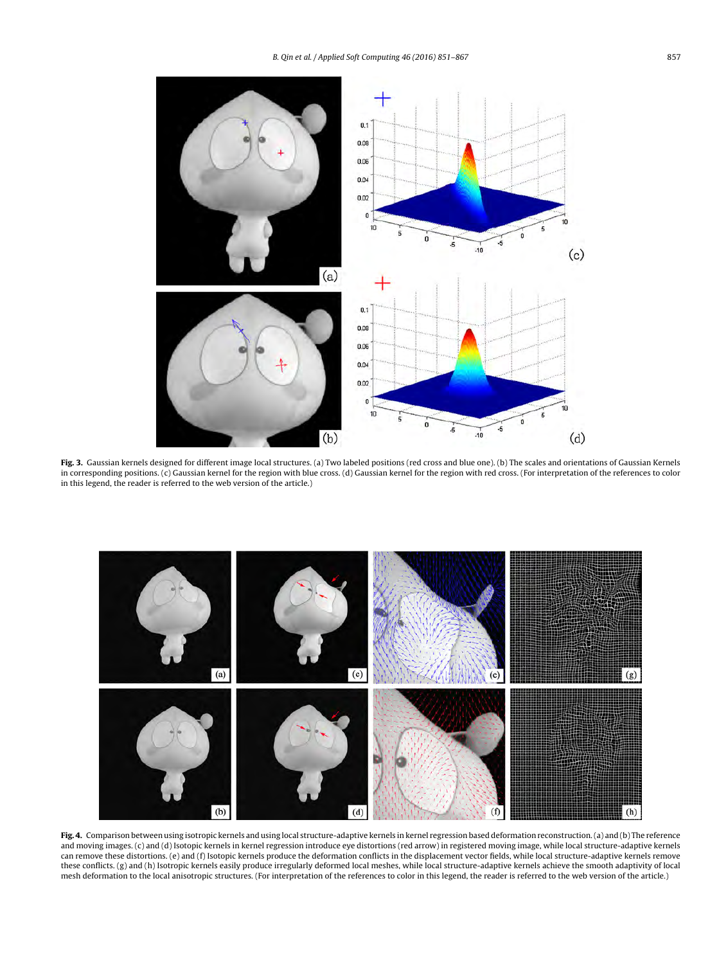<span id="page-6-0"></span>

**Fig. 3.** Gaussian kernels designed for different image local structures. (a) Two labeled positions (red cross and blue one). (b) The scales and orientations of Gaussian Kernels in corresponding positions. (c) Gaussian kernel for the region with blue cross. (d) Gaussian kernel for the region with red cross. (For interpretation of the references to color in this legend, the reader is referred to the web version of the article.)



**Fig. 4.** Comparison between using isotropic kernels and using local structure-adaptive kernels in kernel regression based deformation reconstruction.(a) and (b) The reference and moving images. (c) and (d) Isotopic kernels in kernel regression introduce eye distortions (red arrow) in registered moving image, while local structure-adaptive kernels can remove these distortions. (e) and (f) Isotopic kernels produce the deformation conflicts in the displacement vector fields, while local structure-adaptive kernels remove these conflicts. (g) and (h) Isotropic kernels easily produce irregularly deformed local meshes, while local structure-adaptive kernels achieve the smooth adaptivity of local mesh deformation to the local anisotropic structures. (For interpretation of the references to color in this legend, the reader is referred to the web version of the article.)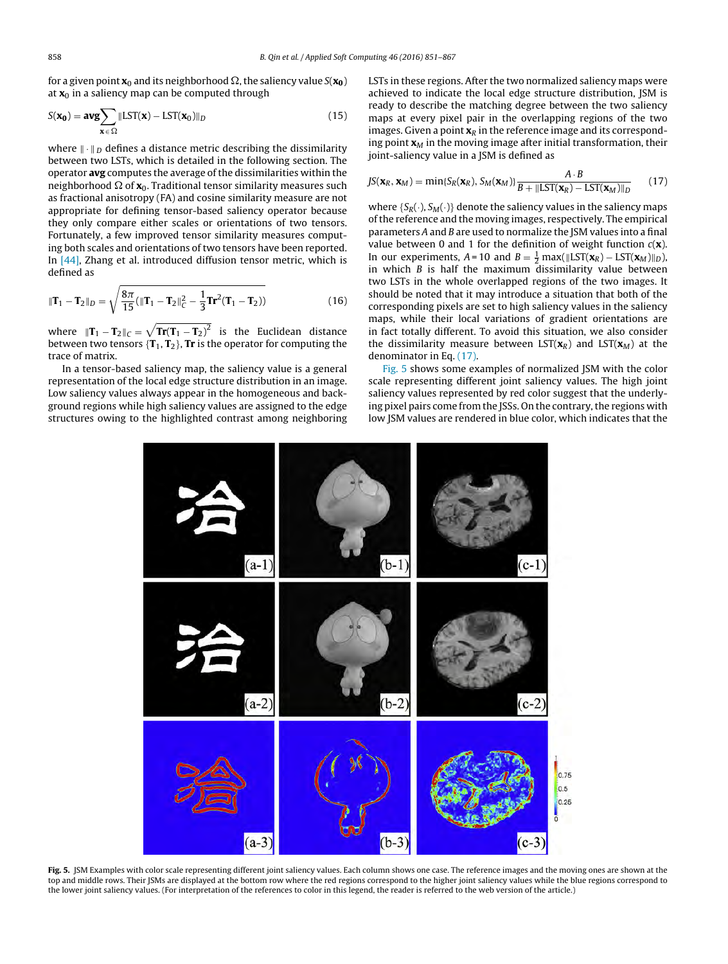<span id="page-7-0"></span>for a given point  $\mathbf{x}_0$  and its neighborhood  $\Omega$ , the saliency value  $S(\mathbf{x_0})$ at  $x_0$  in a saliency map can be computed through

$$
S(\mathbf{x_0}) = \mathbf{avg} \sum_{\mathbf{x} \in \Omega} \| \mathbf{LST}(\mathbf{x}) - \mathbf{LST}(\mathbf{x_0}) \|_D \tag{15}
$$

where  $\|\cdot\|_D$  defines a distance metric describing the dissimilarity between two LSTs, which is detailed in the following section. The operator **avg** computes the average ofthe dissimilarities within the neighborhood  $\Omega$  of  $\mathbf{x}_0$ . Traditional tensor similarity measures such as fractional anisotropy (FA) and cosine similarity measure are not appropriate for defining tensor-based saliency operator because they only compare either scales or orientations of two tensors. Fortunately, a few improved tensor similarity measures computing both scales and orientations of two tensors have been reported. In [\[44\],](#page-16-0) Zhang et al. introduced diffusion tensor metric, which is defined as

$$
\|\mathbf{T}_1 - \mathbf{T}_2\|_D = \sqrt{\frac{8\pi}{15}} (\|\mathbf{T}_1 - \mathbf{T}_2\|_C^2 - \frac{1}{3}\mathbf{T}\mathbf{r}^2 (\mathbf{T}_1 - \mathbf{T}_2))
$$
(16)

where  $||\mathbf{T}_1 - \mathbf{T}_2||_C = \sqrt{\mathbf{Tr}(\mathbf{T}_1 - \mathbf{T}_2)^2}$  is the Euclidean distance between two tensors {**T**1, **T**2}, **Tr** is the operator for computing the trace of matrix.

In a tensor-based saliency map, the saliency value is a general representation of the local edge structure distribution in an image. Low saliency values always appear in the homogeneous and background regions while high saliency values are assigned to the edge structures owing to the highlighted contrast among neighboring LSTs in these regions. After the two normalized saliency maps were achieved to indicate the local edge structure distribution, JSM is ready to describe the matching degree between the two saliency maps at every pixel pair in the overlapping regions of the two images. Given a point  $\mathbf{x}_R$  in the reference image and its corresponding point  $\mathbf{x}_M$  in the moving image after initial transformation, their joint-saliency value in a JSM is defined as

$$
JS(\mathbf{x}_R, \mathbf{x}_M) = \min\{S_R(\mathbf{x}_R), S_M(\mathbf{x}_M)\}\frac{A \cdot B}{B + ||\text{LST}(\mathbf{x}_R) - \text{LST}(\mathbf{x}_M)||_D} \tag{17}
$$

where  ${S_R(\cdot), S_M(\cdot)}$  denote the saliency values in the saliency maps ofthe reference and the moving images, respectively. The empirical parameters A and B are used to normalize the JSM values into a final value between 0 and 1 for the definition of weight function  $c(\mathbf{x})$ . In our experiments,  $A = 10$  and  $B = \frac{1}{2} \max(\Vert \text{LST}(\mathbf{x}_R) - \text{LST}(\mathbf{x}_M) \Vert_D)$ , in which  $B$  is half the maximum dissimilarity value between two LSTs in the whole overlapped regions of the two images. It should be noted that it may introduce a situation that both of the corresponding pixels are set to high saliency values in the saliency maps, while their local variations of gradient orientations are in fact totally different. To avoid this situation, we also consider the dissimilarity measure between  $LST(\mathbf{x}_R)$  and  $LST(\mathbf{x}_M)$  at the denominator in Eq. (17).

Fig. 5 shows some examples of normalized JSM with the color scale representing different joint saliency values. The high joint saliency values represented by red color suggest that the underlying pixel pairs come from the JSSs. On the contrary, the regions with low JSM values are rendered in blue color, which indicates that the



**Fig. 5.** JSM Examples with color scale representing different joint saliency values. Each column shows one case. The reference images and the moving ones are shown at the top and middle rows. Their JSMs are displayed at the bottom row where the red regions correspond to the higher joint saliency values while the blue regions correspond to the lower joint saliency values. (For interpretation of the references to color in this legend, the reader is referred to the web version of the article.)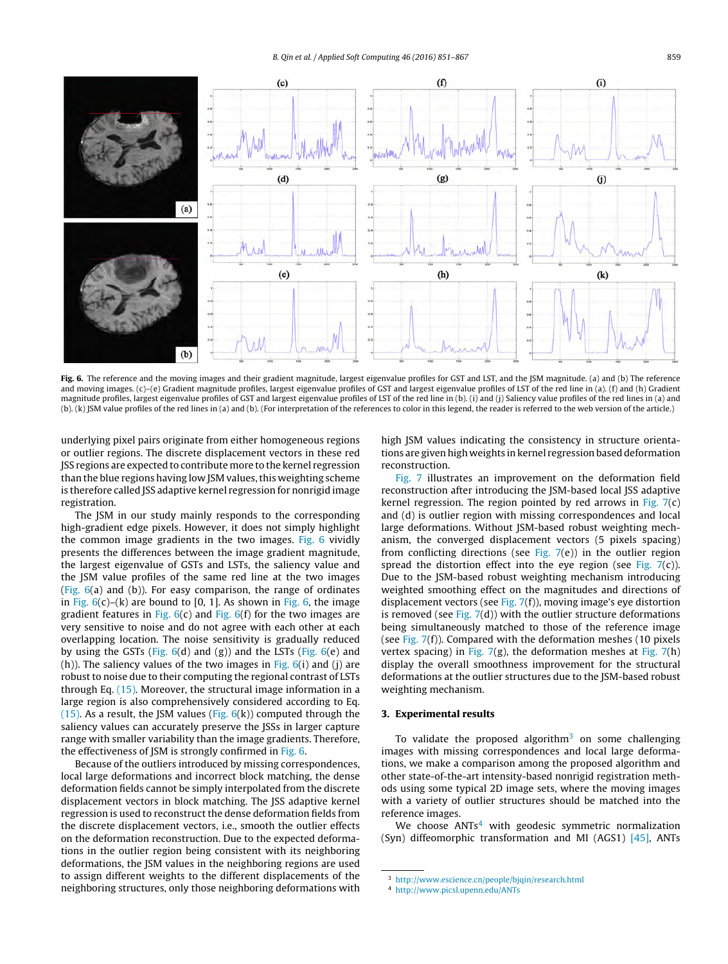<span id="page-8-0"></span>

Fig. 6. The reference and the moving images and their gradient magnitude, largest eigenvalue profiles for GST and LST, and the JSM magnitude. (a) and (b) The reference and moving images. (c)–(e) Gradient magnitude profiles, largest eigenvalue profiles of GST and largest eigenvalue profiles of LST of the red line in (a). (f) and (h) Gradient magnitude profiles, largest eigenvalue profiles of GST and largest eigenvalue profiles of LST of the red line in (b). (i) and (j) Saliency value profiles of the red lines in (a) and (b). (k) JSM value profiles of the red lines in (a) and (b). (For interpretation of the references to color in this legend, the reader is referred to the web version of the article.)

underlying pixel pairs originate from either homogeneous regions or outlier regions. The discrete displacement vectors in these red JSS regions are expected to contribute more to the kernel regression than the blue regions having low JSM values, this weighting scheme is therefore called JSS adaptive kernel regression for nonrigid image registration.

The JSM in our study mainly responds to the corresponding high-gradient edge pixels. However, it does not simply highlight the common image gradients in the two images. Fig. 6 vividly presents the differences between the image gradient magnitude, the largest eigenvalue of GSTs and LSTs, the saliency value and the JSM value profiles of the same red line at the two images (Fig. 6(a) and (b)). For easy comparison, the range of ordinates in Fig.  $6(c)$ –(k) are bound to [0, 1]. As shown in Fig. 6, the image gradient features in Fig.  $6(c)$  and Fig.  $6(f)$  for the two images are very sensitive to noise and do not agree with each other at each overlapping location. The noise sensitivity is gradually reduced by using the GSTs (Fig.  $6(d)$  and (g)) and the LSTs (Fig.  $6(e)$  and (h)). The saliency values of the two images in Fig.  $6(i)$  and (i) are robust to noise due to their computing the regional contrast of LSTs through Eq. [\(15\).](#page-7-0) Moreover, the structural image information in a large region is also comprehensively considered according to Eq. [\(15\).](#page-7-0) As a result, the JSM values (Fig.  $6(k)$ ) computed through the saliency values can accurately preserve the JSSs in larger capture range with smaller variability than the image gradients. Therefore, the effectiveness of JSM is strongly confirmed in Fig. 6.

Because of the outliers introduced by missing correspondences, local large deformations and incorrect block matching, the dense deformation fields cannot be simply interpolated from the discrete displacement vectors in block matching. The JSS adaptive kernel regression is used to reconstruct the dense deformation fields from the discrete displacement vectors, i.e., smooth the outlier effects on the deformation reconstruction. Due to the expected deformations in the outlier region being consistent with its neighboring deformations, the JSM values in the neighboring regions are used to assign different weights to the different displacements of the neighboring structures, only those neighboring deformations with high JSM values indicating the consistency in structure orientations are given high weights in kernel regression based deformation reconstruction.

[Fig.](#page-9-0) 7 illustrates an improvement on the deformation field reconstruction after introducing the JSM-based local JSS adaptive kernel regression. The region pointed by red arrows in [Fig.](#page-9-0) 7(c) and (d) is outlier region with missing correspondences and local large deformations. Without JSM-based robust weighting mechanism, the converged displacement vectors (5 pixels spacing) from conflicting directions (see [Fig.](#page-9-0)  $7(e)$ ) in the outlier region spread the distortion effect into the eye region (see [Fig.](#page-9-0)  $7(c)$ ). Due to the JSM-based robust weighting mechanism introducing weighted smoothing effect on the magnitudes and directions of displacement vectors (see [Fig.](#page-9-0) 7(f)), moving image's eye distortion is removed (see [Fig.](#page-9-0)  $7(d)$ ) with the outlier structure deformations being simultaneously matched to those of the reference image (see [Fig.](#page-9-0) 7(f)). Compared with the deformation meshes (10 pixels vertex spacing) in [Fig.](#page-9-0)  $7(g)$ , the deformation meshes at Fig.  $7(h)$ display the overall smoothness improvement for the structural deformations at the outlier structures due to the JSM-based robust weighting mechanism.

# **3. Experimental results**

To validate the proposed algorithm<sup>3</sup> on some challenging images with missing correspondences and local large deformations, we make a comparison among the proposed algorithm and other state-of-the-art intensity-based nonrigid registration methods using some typical 2D image sets, where the moving images with a variety of outlier structures should be matched into the reference images.

We choose  $ANTs<sup>4</sup>$  with geodesic symmetric normalization (Syn) diffeomorphic transformation and MI (AGS1) [\[45\],](#page-16-0) ANTs

<sup>3</sup> <http://www.escience.cn/people/bjqin/research.html>

<sup>4</sup> <http://www.picsl.upenn.edu/ANTs>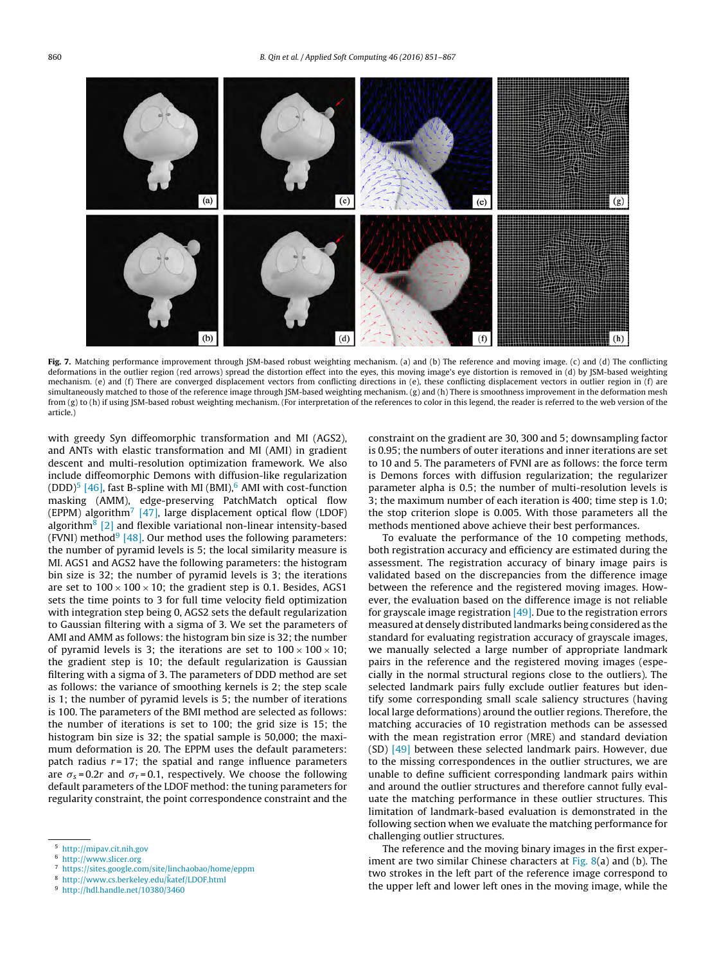<span id="page-9-0"></span>

**Fig. 7.** Matching performance improvement through JSM-based robust weighting mechanism. (a) and (b) The reference and moving image. (c) and (d) The conflicting deformations in the outlier region (red arrows) spread the distortion effect into the eyes, this moving image's eye distortion is removed in (d) by JSM-based weighting mechanism. (e) and (f) There are converged displacement vectors from conflicting directions in (e), these conflicting displacement vectors in outlier region in (f) are simultaneously matched to those of the reference image through JSM-based weighting mechanism. (g) and (h) There is smoothness improvement in the deformation mesh from (g) to (h) if using JSM-based robust weighting mechanism. (For interpretation of the references to color in this legend, the reader is referred to the web version of the article.)

with greedy Syn diffeomorphic transformation and MI (AGS2), and ANTs with elastic transformation and MI (AMI) in gradient descent and multi-resolution optimization framework. We also include diffeomorphic Demons with diffusion-like regularization (DDD)<sup>5</sup> [\[46\],](#page-16-0) fast B-spline with MI (BMI), $<sup>6</sup>$  AMI with cost-function</sup> masking (AMM), edge-preserving PatchMatch optical flow (EPPM) algorithm<sup>7</sup> [\[47\],](#page-16-0) large displacement optical flow (LDOF) algorithm<sup>8</sup> [\[2\]](#page-15-0) and flexible variational non-linear intensity-based (FVNI) method<sup>9</sup> [\[48\].](#page-16-0) Our method uses the following parameters: the number of pyramid levels is 5; the local similarity measure is MI. AGS1 and AGS2 have the following parameters: the histogram bin size is 32; the number of pyramid levels is 3; the iterations are set to  $100 \times 100 \times 10$ ; the gradient step is 0.1. Besides, AGS1 sets the time points to 3 for full time velocity field optimization with integration step being 0, AGS2 sets the default regularization to Gaussian filtering with a sigma of 3. We set the parameters of AMI and AMM as follows: the histogram bin size is 32; the number of pyramid levels is 3; the iterations are set to  $100 \times 100 \times 10$ ; the gradient step is 10; the default regularization is Gaussian filtering with a sigma of 3. The parameters of DDD method are set as follows: the variance of smoothing kernels is 2; the step scale is 1; the number of pyramid levels is 5; the number of iterations is 100. The parameters of the BMI method are selected as follows: the number of iterations is set to 100; the grid size is 15; the histogram bin size is 32; the spatial sample is 50,000; the maximum deformation is 20. The EPPM uses the default parameters: patch radius  $r = 17$ ; the spatial and range influence parameters are  $\sigma_s = 0.2r$  and  $\sigma_r = 0.1$ , respectively. We choose the following default parameters of the LDOF method: the tuning parameters for regularity constraint, the point correspondence constraint and the

8 [http://www.cs.berkeley.edu/katef/LDOF.html](http://www.cs.berkeley.edu)

constraint on the gradient are 30, 300 and 5; downsampling factor is 0.95; the numbers of outer iterations and inner iterations are set to 10 and 5. The parameters of FVNI are as follows: the force term is Demons forces with diffusion regularization; the regularizer parameter alpha is 0.5; the number of multi-resolution levels is 3; the maximum number of each iteration is 400; time step is 1.0; the stop criterion slope is 0.005. With those parameters all the methods mentioned above achieve their best performances.

To evaluate the performance of the 10 competing methods, both registration accuracy and efficiency are estimated during the assessment. The registration accuracy of binary image pairs is validated based on the discrepancies from the difference image between the reference and the registered moving images. However, the evaluation based on the difference image is not reliable for grayscale image registration  $[49]$ . Due to the registration errors measured at densely distributed landmarks being considered as the standard for evaluating registration accuracy of grayscale images, we manually selected a large number of appropriate landmark pairs in the reference and the registered moving images (especially in the normal structural regions close to the outliers). The selected landmark pairs fully exclude outlier features but identify some corresponding small scale saliency structures (having local large deformations) around the outlier regions. Therefore, the matching accuracies of 10 registration methods can be assessed with the mean registration error (MRE) and standard deviation (SD) [\[49\]](#page-16-0) between these selected landmark pairs. However, due to the missing correspondences in the outlier structures, we are unable to define sufficient corresponding landmark pairs within and around the outlier structures and therefore cannot fully evaluate the matching performance in these outlier structures. This limitation of landmark-based evaluation is demonstrated in the following section when we evaluate the matching performance for challenging outlier structures.

The reference and the moving binary images in the first experiment are two similar Chinese characters at  $Fig. 8(a)$  $Fig. 8(a)$  and (b). The two strokes in the left part of the reference image correspond to the upper left and lower left ones in the moving image, while the

<sup>5</sup> <http://mipav.cit.nih.gov>

<sup>6</sup> <http://www.slicer.org>

<sup>7</sup> <https://sites.google.com/site/linchaobao/home/eppm>

<sup>9</sup> <http://hdl.handle.net/10380/3460>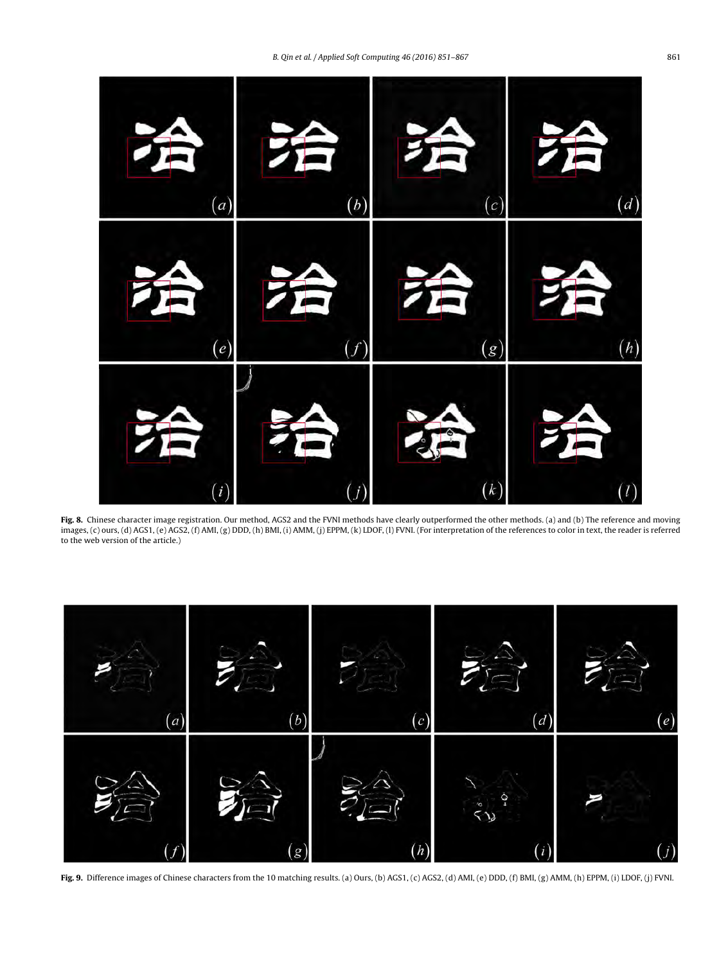<span id="page-10-0"></span>

Fig. 8. Chinese character image registration. Our method, AGS2 and the FVNI methods have clearly outperformed the other methods. (a) and (b) The reference and moving images, (c) ours, (d) AGS1, (e) AGS2, (f) AMI, (g) DDD, (h) BMI, (i) AMM, (j) EPPM, (k) LDOF, (l) FVNI. (For interpretation of the references to color in text, the reader is referred to the web version of the article.)



**Fig. 9.** Difference images of Chinese characters from the 10 matching results. (a) Ours, (b) AGS1, (c) AGS2, (d) AMI, (e) DDD, (f) BMI, (g) AMM, (h) EPPM, (i) LDOF, (j) FVNI.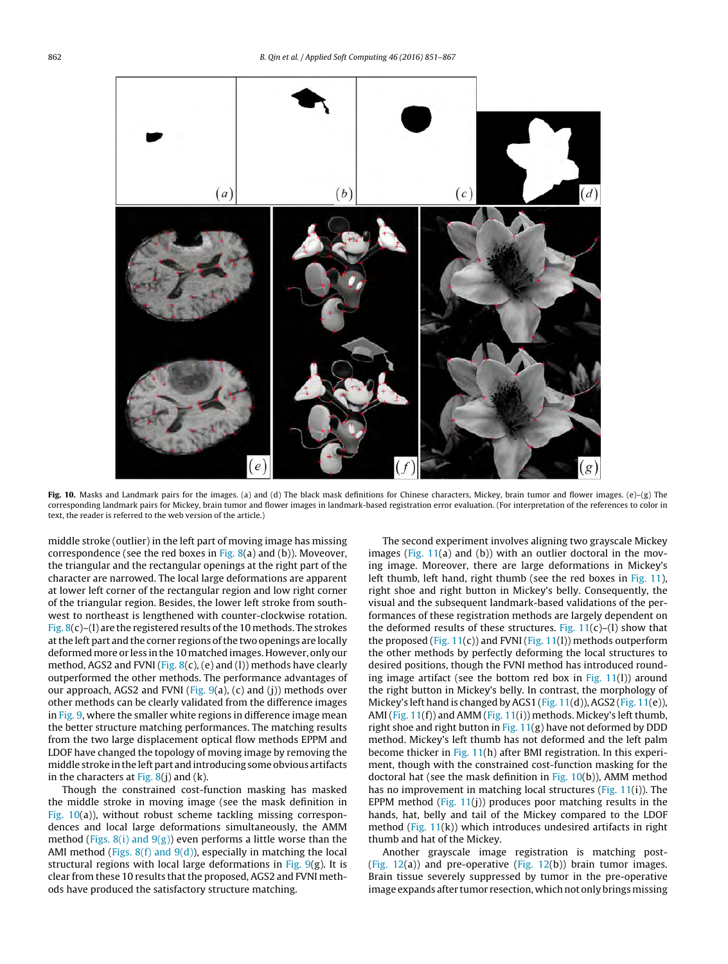<span id="page-11-0"></span>

**Fig. 10.** Masks and Landmark pairs for the images. (a) and (d) The black mask definitions for Chinese characters, Mickey, brain tumor and flower images. (e)–(g) The corresponding landmark pairs for Mickey, brain tumor and flower images in landmark-based registration error evaluation. (For interpretation of the references to color in text, the reader is referred to the web version of the article.)

middle stroke (outlier) in the left part of moving image has missing correspondence (see the red boxes in [Fig.](#page-10-0)  $8(a)$  and (b)). Moveover, the triangular and the rectangular openings at the right part of the character are narrowed. The local large deformations are apparent at lower left corner of the rectangular region and low right corner of the triangular region. Besides, the lower left stroke from southwest to northeast is lengthened with counter-clockwise rotation. [Fig.](#page-10-0)  $8(c)$ –(1) are the registered results of the 10 methods. The strokes at the left part and the corner regions of the two openings are locally deformed more or less in the 10 matched images. However, only our method, AGS2 and FVNI [\(Fig.](#page-10-0)  $8(c)$ , (e) and (1)) methods have clearly outperformed the other methods. The performance advantages of our approach, AGS2 and FVNI [\(Fig.](#page-10-0)  $9(a)$ , (c) and (j)) methods over other methods can be clearly validated from the difference images in [Fig.](#page-10-0) 9, where the smaller white regions in difference image mean the better structure matching performances. The matching results from the two large displacement optical flow methods EPPM and LDOF have changed the topology of moving image by removing the middle stroke inthe leftpart andintroducing some obvious artifacts in the characters at  $Fig. 8(i)$  $Fig. 8(i)$  and  $(k)$ .

Though the constrained cost-function masking has masked the middle stroke in moving image (see the mask definition in Fig. 10(a)), without robust scheme tackling missing correspondences and local large deformations simultaneously, the AMM method (Figs.  $8(i)$  and  $9(g)$ ) even performs a little worse than the AMI method (Figs.  $8(f)$  and  $9(d)$ ), especially in matching the local structural regions with local large deformations in [Fig.](#page-10-0)  $9(g)$ . It is clear from these 10 results that the proposed, AGS2 and FVNI methods have produced the satisfactory structure matching.

The second experiment involves aligning two grayscale Mickey images (Fig. [11\(a](#page-12-0)) and (b)) with an outlier doctoral in the moving image. Moreover, there are large deformations in Mickey's left thumb, left hand, right thumb (see the red boxes in Fig. [11\),](#page-12-0) right shoe and right button in Mickey's belly. Consequently, the visual and the subsequent landmark-based validations of the performances of these registration methods are largely dependent on the deformed results of these structures. Fig.  $11(c)$  $11(c)$ –(l) show that the proposed (Fig.  $11(c)$  $11(c)$ ) and FVNI (Fig.  $11(1)$ ) methods outperform the other methods by perfectly deforming the local structures to desired positions, though the FVNI method has introduced rounding image artifact (see the bottom red box in  $Fig. 11(1)$ ) around the right button in Mickey's belly. In contrast, the morphology of Mickey's left hand is changed by AGS1 (Fig. [11\(d](#page-12-0))), AGS2 (Fig. [11\(e](#page-12-0))), AMI (Fig.  $11(f)$  $11(f)$ ) and AMM (Fig.  $11(i)$  $11(i)$ ) methods. Mickey's left thumb, right shoe and right button in Fig.  $11(g)$  $11(g)$  have not deformed by DDD method. Mickey's left thumb has not deformed and the left palm become thicker in Fig. [11\(h](#page-12-0)) after BMI registration. In this experiment, though with the constrained cost-function masking for the doctoral hat (see the mask definition in Fig. 10(b)), AMM method has no improvement in matching local structures ( $Fig. 11(i)$  $Fig. 11(i)$  $Fig. 11(i)$ ). The EPPM method (Fig.  $11(i)$ ) produces poor matching results in the hands, hat, belly and tail of the Mickey compared to the LDOF method (Fig. [11\(k](#page-12-0))) which introduces undesired artifacts in right thumb and hat of the Mickey.

Another grayscale image registration is matching post- [\(Fig.](#page-13-0) 12(a)) and pre-operative ([Fig.](#page-13-0) 12(b)) brain tumor images. Brain tissue severely suppressed by tumor in the pre-operative image expands after tumor resection, which not only brings missing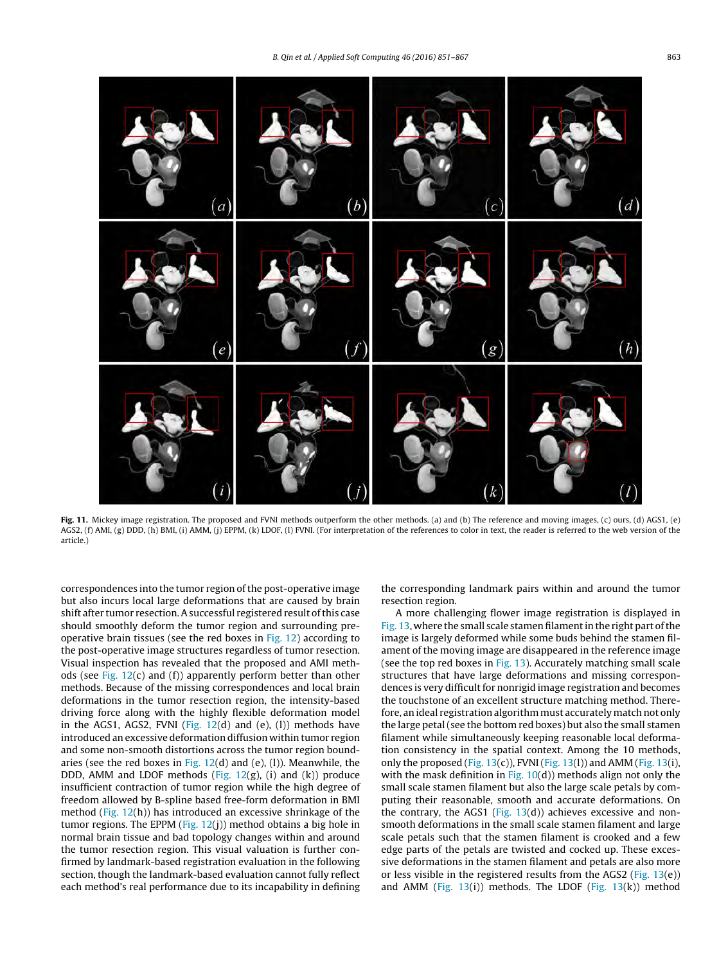<span id="page-12-0"></span>

**Fig. 11.** Mickey image registration. The proposed and FVNI methods outperform the other methods. (a) and (b) The reference and moving images, (c) ours, (d) AGS1, (e) AGS2, (f) AMI, (g) DDD, (h) BMI, (i) AMM, (j) EPPM, (k) LDOF, (l) FVNI. (For interpretation of the references to color in text, the reader is referred to the web version of the article.)

correspondences into the tumor region of the post-operative image but also incurs local large deformations that are caused by brain shift after tumor resection. A successful registered result of this case should smoothly deform the tumor region and surrounding preoperative brain tissues (see the red boxes in [Fig.](#page-13-0) 12) according to the post-operative image structures regardless of tumor resection. Visual inspection has revealed that the proposed and AMI methods (see Fig.  $12(c)$  $12(c)$  and (f)) apparently perform better than other methods. Because of the missing correspondences and local brain deformations in the tumor resection region, the intensity-based driving force along with the highly flexible deformation model in the AGS1, AGS2, FVNI (Fig.  $12(d)$  $12(d)$  and (e), (1)) methods have introduced an excessive deformation diffusion within tumor region and some non-smooth distortions across the tumor region boundaries (see the red boxes in Fig.  $12(d)$  $12(d)$  and (e), (1)). Meanwhile, the DDD, AMM and LDOF methods (Fig.  $12(g)$  $12(g)$ , (i) and (k)) produce insufficient contraction of tumor region while the high degree of freedom allowed by B-spline based free-form deformation in BMI method (Fig. [12\(h](#page-13-0))) has introduced an excessive shrinkage of the tumor regions. The EPPM (Fig.  $12(i)$ ) method obtains a big hole in normal brain tissue and bad topology changes within and around the tumor resection region. This visual valuation is further confirmed by landmark-based registration evaluation in the following section, though the landmark-based evaluation cannot fully reflect each method's real performance due to its incapability in defining

the corresponding landmark pairs within and around the tumor resection region.

A more challenging flower image registration is displayed in [Fig.](#page-14-0) 13, where the small scale stamen filament in the right part of the image is largely deformed while some buds behind the stamen filament of the moving image are disappeared in the reference image (see the top red boxes in  $Fig. 13$ ). Accurately matching small scale structures that have large deformations and missing correspondences is very difficult for nonrigid image registration and becomes the touchstone of an excellent structure matching method. Therefore, an ideal registration algorithm must accurately match not only the large petal(see the bottom red boxes) but also the small stamen filament while simultaneously keeping reasonable local deformation consistency in the spatial context. Among the 10 methods, only the proposed (Fig. [13\(c](#page-14-0))), FVNI (Fig. 13(1)) and AMM (Fig. [13\(i\)](#page-14-0), with the mask definition in Fig.  $10(d)$  $10(d)$ ) methods align not only the small scale stamen filament but also the large scale petals by computing their reasonable, smooth and accurate deformations. On the contrary, the AGS1 (Fig.  $13(d)$  $13(d)$ ) achieves excessive and nonsmooth deformations in the small scale stamen filament and large scale petals such that the stamen filament is crooked and a few edge parts of the petals are twisted and cocked up. These excessive deformations in the stamen filament and petals are also more or less visible in the registered results from the AGS2 (Fig.  $13(e)$  $13(e)$ ) and AMM [\(Fig.](#page-14-0)  $13(i)$ ) methods. The LDOF ([Fig.](#page-14-0)  $13(k)$ ) method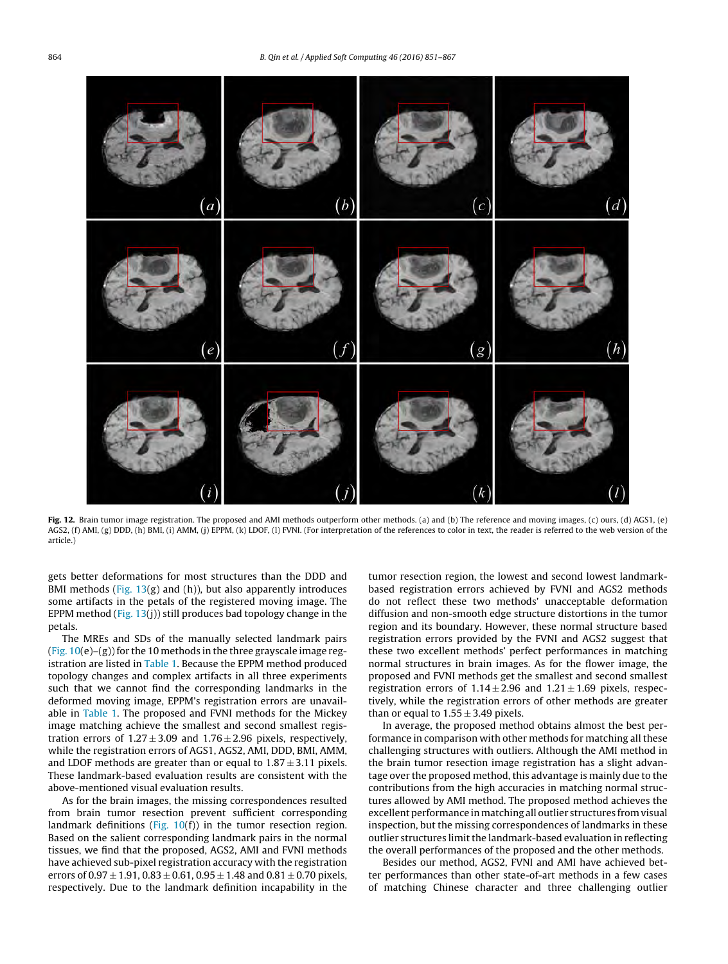<span id="page-13-0"></span>

**Fig. 12.** Brain tumor image registration. The proposed and AMI methods outperform other methods. (a) and (b) The reference and moving images, (c) ours, (d) AGS1, (e) AGS2, (f) AMI, (g) DDD, (h) BMI, (i) AMM, (j) EPPM, (k) LDOF, (l) FVNI. (For interpretation of the references to color in text, the reader is referred to the web version of the article.)

gets better deformations for most structures than the DDD and BMI methods (Fig.  $13(g)$  $13(g)$  and (h)), but also apparently introduces some artifacts in the petals of the registered moving image. The EPPM method (Fig. [13\(j](#page-14-0))) still produces bad topology change in the petals.

The MREs and SDs of the manually selected landmark pairs (Fig.  $10(e)$  $10(e)$ –(g)) for the 10 methods in the three grayscale image registration are listed in [Table](#page-14-0) 1. Because the EPPM method produced topology changes and complex artifacts in all three experiments such that we cannot find the corresponding landmarks in the deformed moving image, EPPM's registration errors are unavailable in [Table](#page-14-0) 1. The proposed and FVNI methods for the Mickey image matching achieve the smallest and second smallest registration errors of  $1.27 \pm 3.09$  and  $1.76 \pm 2.96$  pixels, respectively, while the registration errors of AGS1, AGS2, AMI, DDD, BMI, AMM, and LDOF methods are greater than or equal to  $1.87 \pm 3.11$  pixels. These landmark-based evaluation results are consistent with the above-mentioned visual evaluation results.

As for the brain images, the missing correspondences resulted from brain tumor resection prevent sufficient corresponding landmark definitions [\(Fig.](#page-11-0)  $10(f)$ ) in the tumor resection region. Based on the salient corresponding landmark pairs in the normal tissues, we find that the proposed, AGS2, AMI and FVNI methods have achieved sub-pixel registration accuracy with the registration errors of  $0.97 \pm 1.91$ ,  $0.83 \pm 0.61$ ,  $0.95 \pm 1.48$  and  $0.81 \pm 0.70$  pixels, respectively. Due to the landmark definition incapability in the

tumor resection region, the lowest and second lowest landmarkbased registration errors achieved by FVNI and AGS2 methods do not reflect these two methods' unacceptable deformation diffusion and non-smooth edge structure distortions in the tumor region and its boundary. However, these normal structure based registration errors provided by the FVNI and AGS2 suggest that these two excellent methods' perfect performances in matching normal structures in brain images. As for the flower image, the proposed and FVNI methods get the smallest and second smallest registration errors of  $1.14 \pm 2.96$  and  $1.21 \pm 1.69$  pixels, respectively, while the registration errors of other methods are greater than or equal to  $1.55 \pm 3.49$  pixels.

In average, the proposed method obtains almost the best performance in comparison with other methods for matching all these challenging structures with outliers. Although the AMI method in the brain tumor resection image registration has a slight advantage over the proposed method, this advantage is mainly due to the contributions from the high accuracies in matching normal structures allowed by AMI method. The proposed method achieves the excellent performance in matching all outlier structures from visual inspection, but the missing correspondences of landmarks in these outlier structures limit the landmark-based evaluation in reflecting the overall performances of the proposed and the other methods.

Besides our method, AGS2, FVNI and AMI have achieved better performances than other state-of-art methods in a few cases of matching Chinese character and three challenging outlier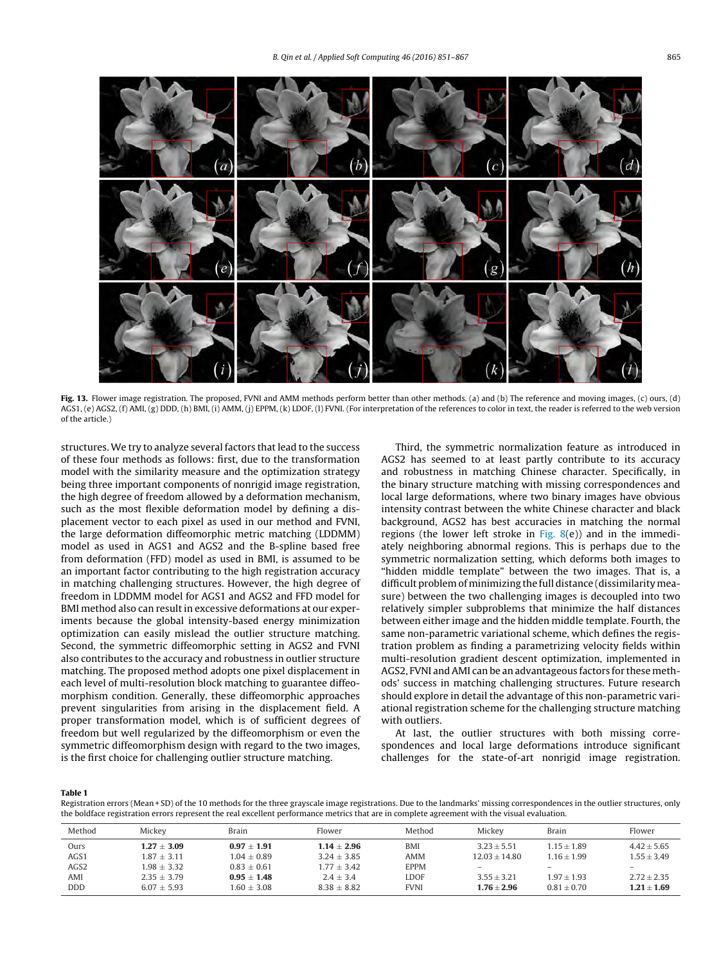<span id="page-14-0"></span>

**Fig. 13.** Flower image registration. The proposed, FVNI and AMM methods perform better than other methods. (a) and (b) The reference and moving images, (c) ours, (d) AGS1, (e) AGS2, (f) AMI, (g) DDD, (h) BMI, (i) AMM, (j) EPPM, (k) LDOF, (l) FVNI. (For interpretation of the references to color in text, the reader is referred to the web version of the article.)

structures. We try to analyze several factors that lead to the success of these four methods as follows: first, due to the transformation model with the similarity measure and the optimization strategy being three important components of nonrigid image registration, the high degree of freedom allowed by a deformation mechanism, such as the most flexible deformation model by defining a displacement vector to each pixel as used in our method and FVNI, the large deformation diffeomorphic metric matching (LDDMM) model as used in AGS1 and AGS2 and the B-spline based free from deformation (FFD) model as used in BMI, is assumed to be an important factor contributing to the high registration accuracy in matching challenging structures. However, the high degree of freedom in LDDMM model for AGS1 and AGS2 and FFD model for BMI method also can result in excessive deformations at our experiments because the global intensity-based energy minimization optimization can easily mislead the outlier structure matching. Second, the symmetric diffeomorphic setting in AGS2 and FVNI also contributes to the accuracy and robustness in outlier structure matching. The proposed method adopts one pixel displacement in each level of multi-resolution block matching to guarantee diffeomorphism condition. Generally, these diffeomorphic approaches prevent singularities from arising in the displacement field. A proper transformation model, which is of sufficient degrees of freedom but well regularized by the diffeomorphism or even the symmetric diffeomorphism design with regard to the two images, is the first choice for challenging outlier structure matching.

Third, the symmetric normalization feature as introduced in AGS2 has seemed to at least partly contribute to its accuracy and robustness in matching Chinese character. Specifically, in the binary structure matching with missing correspondences and local large deformations, where two binary images have obvious intensity contrast between the white Chinese character and black background, AGS2 has best accuracies in matching the normal regions (the lower left stroke in [Fig.](#page-10-0)  $8(e)$ ) and in the immediately neighboring abnormal regions. This is perhaps due to the symmetric normalization setting, which deforms both images to "hidden middle template" between the two images. That is, a difficult problem of minimizing the full distance (dissimilaritymeasure) between the two challenging images is decoupled into two relatively simpler subproblems that minimize the half distances between either image and the hidden middle template. Fourth, the same non-parametric variational scheme, which defines the registration problem as finding a parametrizing velocity fields within multi-resolution gradient descent optimization, implemented in AGS2, FVNI and AMI can be an advantageous factors for these methods' success in matching challenging structures. Future research should explore in detail the advantage of this non-parametric variational registration scheme for the challenging structure matching with outliers.

At last, the outlier structures with both missing correspondences and local large deformations introduce significant challenges for the state-of-art nonrigid image registration.

#### **Table 1**

Registration errors (Mean + SD) of the 10 methods for the three grayscale image registrations. Due to the landmarks' missing correspondences in the outlier structures, only the boldface registration errors represent the real excellent performance metrics that are in complete agreement with the visual evaluation.

| Method           | Mickey          | Brain         | Flower          | Method      | Mickey          | Brain           | Flower          |
|------------------|-----------------|---------------|-----------------|-------------|-----------------|-----------------|-----------------|
| Ours             | $1.27 + 3.09$   | $0.97 + 1.91$ | $1.14 + 2.96$   | BMI         | $3.23 + 5.51$   | $115 + 189$     | $4.42 + 5.65$   |
| AGS1             | $1.87 + 3.11$   | $1.04 + 0.89$ | $3.24 + 3.85$   | AMM         | $12.03 + 14.80$ | $1.16 + 1.99$   | $1.55 + 3.49$   |
| AGS <sub>2</sub> | $1.98 + 3.32$   | $0.83 + 0.61$ | $1.77 + 3.42$   | <b>EPPM</b> | -               | -               |                 |
| AMI              | $2.35 + 3.79$   | $0.95 + 1.48$ | $2.4 + 3.4$     | LDOF        | $3.55 + 3.21$   | $1.97 + 1.93$   | $2.72 + 2.35$   |
| <b>DDD</b>       | $6.07 \pm 5.93$ | $1.60 + 3.08$ | $8.38 \pm 8.82$ | <b>FVNI</b> | $1.76 + 2.96$   | $0.81 \pm 0.70$ | $1.21 \pm 1.69$ |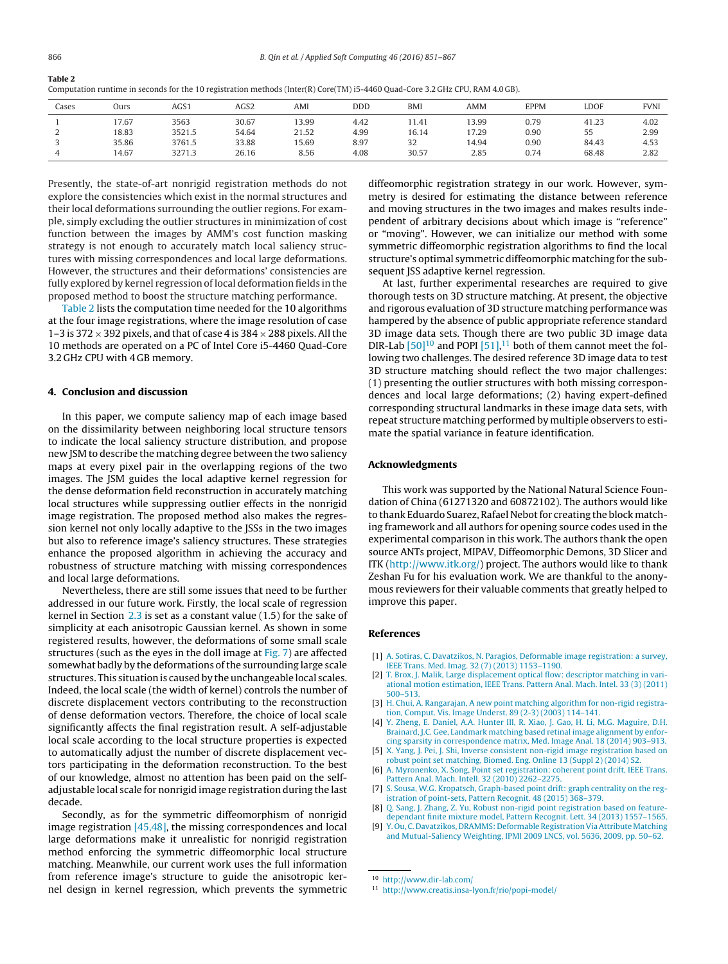<span id="page-15-0"></span>

| Computation runtime in seconds for the 10 registration methods (Inter(R) Core(TM) i5-4460 Quad-Core 3.2 GHz CPU, RAM 4.0 GB). |
|-------------------------------------------------------------------------------------------------------------------------------|
|-------------------------------------------------------------------------------------------------------------------------------|

| Cases | Ours  | AGS1   | AGS2  | AMI   | <b>DDD</b> | <b>BMI</b> | AMM   | <b>EPPM</b> | LDOF  | FVNI |
|-------|-------|--------|-------|-------|------------|------------|-------|-------------|-------|------|
|       | 7.67  | 3563   | 30.67 | 13.99 | 4.42       | 11.41      | 13.99 | 0.79        | 41.23 | 4.02 |
| ∼     | 18.83 | 3521.5 | 54.64 | 21.52 | 4.99       | 16.14      | 17.29 | 0.90        | 55    | 2.99 |
|       | 35.86 | 3761.5 | 33.88 | 15.69 | 8.97       | 32         | 14.94 | 0.90        | 84.43 | 4.53 |
|       | 14.67 | 3271.3 | 26.16 | 8.56  | 4.08       | 30.57      | 2.85  | 0.74        | 68.48 | 2.82 |

Presently, the state-of-art nonrigid registration methods do not explore the consistencies which exist in the normal structures and their local deformations surrounding the outlier regions. For example, simply excluding the outlier structures in minimization of cost function between the images by AMM's cost function masking strategy is not enough to accurately match local saliency structures with missing correspondences and local large deformations. However, the structures and their deformations' consistencies are fully explored by kernel regression of local deformation fields in the proposed method to boost the structure matching performance.

Table 2 lists the computation time needed for the 10 algorithms at the four image registrations, where the image resolution of case 1–3 is 372  $\times$  392 pixels, and that of case 4 is 384  $\times$  288 pixels. All the 10 methods are operated on a PC of Intel Core i5-4460 Quad-Core 3.2 GHz CPU with 4 GB memory.

# **4. Conclusion and discussion**

In this paper, we compute saliency map of each image based on the dissimilarity between neighboring local structure tensors to indicate the local saliency structure distribution, and propose new JSM to describe the matching degree between the two saliency maps at every pixel pair in the overlapping regions of the two images. The JSM guides the local adaptive kernel regression for the dense deformation field reconstruction in accurately matching local structures while suppressing outlier effects in the nonrigid image registration. The proposed method also makes the regression kernel not only locally adaptive to the JSSs in the two images but also to reference image's saliency structures. These strategies enhance the proposed algorithm in achieving the accuracy and robustness of structure matching with missing correspondences and local large deformations.

Nevertheless, there are still some issues that need to be further addressed in our future work. Firstly, the local scale of regression kernel in Section [2.3](#page-4-0) is set as a constant value (1.5) for the sake of simplicity at each anisotropic Gaussian kernel. As shown in some registered results, however, the deformations of some small scale structures (such as the eyes in the doll image at [Fig.](#page-9-0) 7) are affected somewhat badly by the deformations of the surrounding large scale structures. This situation is caused by the unchangeable local scales. Indeed, the local scale (the width of kernel) controls the number of discrete displacement vectors contributing to the reconstruction of dense deformation vectors. Therefore, the choice of local scale significantly affects the final registration result. A self-adjustable local scale according to the local structure properties is expected to automatically adjust the number of discrete displacement vectors participating in the deformation reconstruction. To the best of our knowledge, almost no attention has been paid on the selfadjustable local scale for nonrigid image registration during the last decade.

Secondly, as for the symmetric diffeomorphism of nonrigid image registration [\[45,48\],](#page-16-0) the missing correspondences and local large deformations make it unrealistic for nonrigid registration method enforcing the symmetric diffeomorphic local structure matching. Meanwhile, our current work uses the full information from reference image's structure to guide the anisotropic kernel design in kernel regression, which prevents the symmetric

diffeomorphic registration strategy in our work. However, symmetry is desired for estimating the distance between reference and moving structures in the two images and makes results independent of arbitrary decisions about which image is "reference" or "moving". However, we can initialize our method with some symmetric diffeomorphic registration algorithms to find the local structure's optimal symmetric diffeomorphic matching for the subsequent JSS adaptive kernel regression.

At last, further experimental researches are required to give thorough tests on 3D structure matching. At present, the objective and rigorous evaluation of 3D structure matching performance was hampered by the absence of public appropriate reference standard 3D image data sets. Though there are two public 3D image data DIR-Lab  $[50]^{10}$  and POPI  $[51]$ ,<sup>11</sup> both of them cannot meet the following two challenges. The desired reference 3D image data to test 3D structure matching should reflect the two major challenges: (1) presenting the outlier structures with both missing correspondences and local large deformations; (2) having expert-defined corresponding structural landmarks in these image data sets, with repeat structure matching performed by multiple observers to estimate the spatial variance in feature identification.

# **Acknowledgments**

This work was supported by the National Natural Science Foundation of China (61271320 and 60872102). The authors would like to thank Eduardo Suarez, Rafael Nebot for creating the block matching framework and all authors for opening source codes used in the experimental comparison in this work. The authors thank the open source ANTs project, MIPAV, Diffeomorphic Demons, 3D Slicer and ITK [\(http://www.itk.org/](http://www.itk.org/)) project. The authors would like to thank Zeshan Fu for his evaluation work. We are thankful to the anonymous reviewers for their valuable comments that greatly helped to improve this paper.

#### **References**

- [1] [A.](http://refhub.elsevier.com/S1568-4946(15)00675-4/sbref0005) [Sotiras,](http://refhub.elsevier.com/S1568-4946(15)00675-4/sbref0005) [C.](http://refhub.elsevier.com/S1568-4946(15)00675-4/sbref0005) [Davatzikos,](http://refhub.elsevier.com/S1568-4946(15)00675-4/sbref0005) [N.](http://refhub.elsevier.com/S1568-4946(15)00675-4/sbref0005) [Paragios,](http://refhub.elsevier.com/S1568-4946(15)00675-4/sbref0005) [Deformable](http://refhub.elsevier.com/S1568-4946(15)00675-4/sbref0005) [image](http://refhub.elsevier.com/S1568-4946(15)00675-4/sbref0005) [registration:](http://refhub.elsevier.com/S1568-4946(15)00675-4/sbref0005) [a](http://refhub.elsevier.com/S1568-4946(15)00675-4/sbref0005) [survey,](http://refhub.elsevier.com/S1568-4946(15)00675-4/sbref0005) [IEEE](http://refhub.elsevier.com/S1568-4946(15)00675-4/sbref0005) [Trans.](http://refhub.elsevier.com/S1568-4946(15)00675-4/sbref0005) [Med.](http://refhub.elsevier.com/S1568-4946(15)00675-4/sbref0005) [Imag.](http://refhub.elsevier.com/S1568-4946(15)00675-4/sbref0005) [32](http://refhub.elsevier.com/S1568-4946(15)00675-4/sbref0005) [\(7\)](http://refhub.elsevier.com/S1568-4946(15)00675-4/sbref0005) [\(2013\)](http://refhub.elsevier.com/S1568-4946(15)00675-4/sbref0005) [1153](http://refhub.elsevier.com/S1568-4946(15)00675-4/sbref0005)–[1190.](http://refhub.elsevier.com/S1568-4946(15)00675-4/sbref0005)
- [2] [T.](http://refhub.elsevier.com/S1568-4946(15)00675-4/sbref0010) [Brox,](http://refhub.elsevier.com/S1568-4946(15)00675-4/sbref0010) [J.](http://refhub.elsevier.com/S1568-4946(15)00675-4/sbref0010) [Malik,](http://refhub.elsevier.com/S1568-4946(15)00675-4/sbref0010) [Large](http://refhub.elsevier.com/S1568-4946(15)00675-4/sbref0010) [displacement](http://refhub.elsevier.com/S1568-4946(15)00675-4/sbref0010) [optical](http://refhub.elsevier.com/S1568-4946(15)00675-4/sbref0010) [flow:](http://refhub.elsevier.com/S1568-4946(15)00675-4/sbref0010) [descriptor](http://refhub.elsevier.com/S1568-4946(15)00675-4/sbref0010) [matching](http://refhub.elsevier.com/S1568-4946(15)00675-4/sbref0010) [in](http://refhub.elsevier.com/S1568-4946(15)00675-4/sbref0010) [vari](http://refhub.elsevier.com/S1568-4946(15)00675-4/sbref0010)[ational](http://refhub.elsevier.com/S1568-4946(15)00675-4/sbref0010) [motion](http://refhub.elsevier.com/S1568-4946(15)00675-4/sbref0010) [estimation,](http://refhub.elsevier.com/S1568-4946(15)00675-4/sbref0010) [IEEE](http://refhub.elsevier.com/S1568-4946(15)00675-4/sbref0010) [Trans.](http://refhub.elsevier.com/S1568-4946(15)00675-4/sbref0010) [Pattern](http://refhub.elsevier.com/S1568-4946(15)00675-4/sbref0010) [Anal.](http://refhub.elsevier.com/S1568-4946(15)00675-4/sbref0010) [Mach.](http://refhub.elsevier.com/S1568-4946(15)00675-4/sbref0010) [Intel.](http://refhub.elsevier.com/S1568-4946(15)00675-4/sbref0010) [33](http://refhub.elsevier.com/S1568-4946(15)00675-4/sbref0010) [\(3\)](http://refhub.elsevier.com/S1568-4946(15)00675-4/sbref0010) [\(2011\)](http://refhub.elsevier.com/S1568-4946(15)00675-4/sbref0010) [500–513.](http://refhub.elsevier.com/S1568-4946(15)00675-4/sbref0010)
- [3] [H.](http://refhub.elsevier.com/S1568-4946(15)00675-4/sbref0015) [Chui,](http://refhub.elsevier.com/S1568-4946(15)00675-4/sbref0015) [A.](http://refhub.elsevier.com/S1568-4946(15)00675-4/sbref0015) [Rangarajan,](http://refhub.elsevier.com/S1568-4946(15)00675-4/sbref0015) [A](http://refhub.elsevier.com/S1568-4946(15)00675-4/sbref0015) [new](http://refhub.elsevier.com/S1568-4946(15)00675-4/sbref0015) [point](http://refhub.elsevier.com/S1568-4946(15)00675-4/sbref0015) [matching](http://refhub.elsevier.com/S1568-4946(15)00675-4/sbref0015) [algorithm](http://refhub.elsevier.com/S1568-4946(15)00675-4/sbref0015) [for](http://refhub.elsevier.com/S1568-4946(15)00675-4/sbref0015) [non-rigid](http://refhub.elsevier.com/S1568-4946(15)00675-4/sbref0015) [registra](http://refhub.elsevier.com/S1568-4946(15)00675-4/sbref0015)[tion,](http://refhub.elsevier.com/S1568-4946(15)00675-4/sbref0015) [Comput.](http://refhub.elsevier.com/S1568-4946(15)00675-4/sbref0015) [Vis.](http://refhub.elsevier.com/S1568-4946(15)00675-4/sbref0015) [Image](http://refhub.elsevier.com/S1568-4946(15)00675-4/sbref0015) [Underst.](http://refhub.elsevier.com/S1568-4946(15)00675-4/sbref0015) [89](http://refhub.elsevier.com/S1568-4946(15)00675-4/sbref0015) [\(2-3\)](http://refhub.elsevier.com/S1568-4946(15)00675-4/sbref0015) [\(2003\)](http://refhub.elsevier.com/S1568-4946(15)00675-4/sbref0015) [114](http://refhub.elsevier.com/S1568-4946(15)00675-4/sbref0015)–[141.](http://refhub.elsevier.com/S1568-4946(15)00675-4/sbref0015)
- [4] [Y.](http://refhub.elsevier.com/S1568-4946(15)00675-4/sbref0020) [Zheng,](http://refhub.elsevier.com/S1568-4946(15)00675-4/sbref0020) [E.](http://refhub.elsevier.com/S1568-4946(15)00675-4/sbref0020) [Daniel,](http://refhub.elsevier.com/S1568-4946(15)00675-4/sbref0020) [A.A.](http://refhub.elsevier.com/S1568-4946(15)00675-4/sbref0020) [Hunter](http://refhub.elsevier.com/S1568-4946(15)00675-4/sbref0020) [III,](http://refhub.elsevier.com/S1568-4946(15)00675-4/sbref0020) [R.](http://refhub.elsevier.com/S1568-4946(15)00675-4/sbref0020) [Xiao,](http://refhub.elsevier.com/S1568-4946(15)00675-4/sbref0020) [J.](http://refhub.elsevier.com/S1568-4946(15)00675-4/sbref0020) [Gao,](http://refhub.elsevier.com/S1568-4946(15)00675-4/sbref0020) [H.](http://refhub.elsevier.com/S1568-4946(15)00675-4/sbref0020) [Li,](http://refhub.elsevier.com/S1568-4946(15)00675-4/sbref0020) [M.G.](http://refhub.elsevier.com/S1568-4946(15)00675-4/sbref0020) [Maguire,](http://refhub.elsevier.com/S1568-4946(15)00675-4/sbref0020) [D.H.](http://refhub.elsevier.com/S1568-4946(15)00675-4/sbref0020) [Brainard,](http://refhub.elsevier.com/S1568-4946(15)00675-4/sbref0020) [J.C.](http://refhub.elsevier.com/S1568-4946(15)00675-4/sbref0020) [Gee,](http://refhub.elsevier.com/S1568-4946(15)00675-4/sbref0020) [Landmark](http://refhub.elsevier.com/S1568-4946(15)00675-4/sbref0020) [matching](http://refhub.elsevier.com/S1568-4946(15)00675-4/sbref0020) [based](http://refhub.elsevier.com/S1568-4946(15)00675-4/sbref0020) [retinal](http://refhub.elsevier.com/S1568-4946(15)00675-4/sbref0020) [image](http://refhub.elsevier.com/S1568-4946(15)00675-4/sbref0020) [alignment](http://refhub.elsevier.com/S1568-4946(15)00675-4/sbref0020) [by](http://refhub.elsevier.com/S1568-4946(15)00675-4/sbref0020) [enfor](http://refhub.elsevier.com/S1568-4946(15)00675-4/sbref0020)[cing](http://refhub.elsevier.com/S1568-4946(15)00675-4/sbref0020) [sparsity](http://refhub.elsevier.com/S1568-4946(15)00675-4/sbref0020) [in](http://refhub.elsevier.com/S1568-4946(15)00675-4/sbref0020) [correspondence](http://refhub.elsevier.com/S1568-4946(15)00675-4/sbref0020) [matrix,](http://refhub.elsevier.com/S1568-4946(15)00675-4/sbref0020) [Med.](http://refhub.elsevier.com/S1568-4946(15)00675-4/sbref0020) [Image](http://refhub.elsevier.com/S1568-4946(15)00675-4/sbref0020) [Anal.](http://refhub.elsevier.com/S1568-4946(15)00675-4/sbref0020) [18](http://refhub.elsevier.com/S1568-4946(15)00675-4/sbref0020) [\(2014\)](http://refhub.elsevier.com/S1568-4946(15)00675-4/sbref0020) [903–913.](http://refhub.elsevier.com/S1568-4946(15)00675-4/sbref0020)
- [5] [X.](http://refhub.elsevier.com/S1568-4946(15)00675-4/sbref0025) [Yang,](http://refhub.elsevier.com/S1568-4946(15)00675-4/sbref0025) [J.](http://refhub.elsevier.com/S1568-4946(15)00675-4/sbref0025) [Pei,](http://refhub.elsevier.com/S1568-4946(15)00675-4/sbref0025) [J.](http://refhub.elsevier.com/S1568-4946(15)00675-4/sbref0025) [Shi,](http://refhub.elsevier.com/S1568-4946(15)00675-4/sbref0025) [Inverse](http://refhub.elsevier.com/S1568-4946(15)00675-4/sbref0025) [consistent](http://refhub.elsevier.com/S1568-4946(15)00675-4/sbref0025) [non-rigid](http://refhub.elsevier.com/S1568-4946(15)00675-4/sbref0025) [image](http://refhub.elsevier.com/S1568-4946(15)00675-4/sbref0025) [registration](http://refhub.elsevier.com/S1568-4946(15)00675-4/sbref0025) [based](http://refhub.elsevier.com/S1568-4946(15)00675-4/sbref0025) [on](http://refhub.elsevier.com/S1568-4946(15)00675-4/sbref0025) [robust](http://refhub.elsevier.com/S1568-4946(15)00675-4/sbref0025) [point](http://refhub.elsevier.com/S1568-4946(15)00675-4/sbref0025) [set](http://refhub.elsevier.com/S1568-4946(15)00675-4/sbref0025) [matching,](http://refhub.elsevier.com/S1568-4946(15)00675-4/sbref0025) [Biomed.](http://refhub.elsevier.com/S1568-4946(15)00675-4/sbref0025) [Eng.](http://refhub.elsevier.com/S1568-4946(15)00675-4/sbref0025) [Online](http://refhub.elsevier.com/S1568-4946(15)00675-4/sbref0025) [13](http://refhub.elsevier.com/S1568-4946(15)00675-4/sbref0025) [\(Suppl](http://refhub.elsevier.com/S1568-4946(15)00675-4/sbref0025) [2\)](http://refhub.elsevier.com/S1568-4946(15)00675-4/sbref0025) [\(2014\)](http://refhub.elsevier.com/S1568-4946(15)00675-4/sbref0025) [S2.](http://refhub.elsevier.com/S1568-4946(15)00675-4/sbref0025)
- [6] [A.](http://refhub.elsevier.com/S1568-4946(15)00675-4/sbref0030) [Myronenko,](http://refhub.elsevier.com/S1568-4946(15)00675-4/sbref0030) [X.](http://refhub.elsevier.com/S1568-4946(15)00675-4/sbref0030) [Song,](http://refhub.elsevier.com/S1568-4946(15)00675-4/sbref0030) [Point](http://refhub.elsevier.com/S1568-4946(15)00675-4/sbref0030) [set](http://refhub.elsevier.com/S1568-4946(15)00675-4/sbref0030) [registration:](http://refhub.elsevier.com/S1568-4946(15)00675-4/sbref0030) [coherent](http://refhub.elsevier.com/S1568-4946(15)00675-4/sbref0030) [point](http://refhub.elsevier.com/S1568-4946(15)00675-4/sbref0030) [drift,](http://refhub.elsevier.com/S1568-4946(15)00675-4/sbref0030) [IEEE](http://refhub.elsevier.com/S1568-4946(15)00675-4/sbref0030) [Trans.](http://refhub.elsevier.com/S1568-4946(15)00675-4/sbref0030) [Pattern](http://refhub.elsevier.com/S1568-4946(15)00675-4/sbref0030) [Anal.](http://refhub.elsevier.com/S1568-4946(15)00675-4/sbref0030) [Mach.](http://refhub.elsevier.com/S1568-4946(15)00675-4/sbref0030) [Intell.](http://refhub.elsevier.com/S1568-4946(15)00675-4/sbref0030) [32](http://refhub.elsevier.com/S1568-4946(15)00675-4/sbref0030) [\(2010\)](http://refhub.elsevier.com/S1568-4946(15)00675-4/sbref0030) [2262–2275.](http://refhub.elsevier.com/S1568-4946(15)00675-4/sbref0030)
- [7] [S.](http://refhub.elsevier.com/S1568-4946(15)00675-4/sbref0035) [Sousa,](http://refhub.elsevier.com/S1568-4946(15)00675-4/sbref0035) [W.G.](http://refhub.elsevier.com/S1568-4946(15)00675-4/sbref0035) [Kropatsch,](http://refhub.elsevier.com/S1568-4946(15)00675-4/sbref0035) [Graph-based](http://refhub.elsevier.com/S1568-4946(15)00675-4/sbref0035) [point](http://refhub.elsevier.com/S1568-4946(15)00675-4/sbref0035) [drift:](http://refhub.elsevier.com/S1568-4946(15)00675-4/sbref0035) [graph](http://refhub.elsevier.com/S1568-4946(15)00675-4/sbref0035) [centrality](http://refhub.elsevier.com/S1568-4946(15)00675-4/sbref0035) [on](http://refhub.elsevier.com/S1568-4946(15)00675-4/sbref0035) [the](http://refhub.elsevier.com/S1568-4946(15)00675-4/sbref0035) [reg](http://refhub.elsevier.com/S1568-4946(15)00675-4/sbref0035)[istration](http://refhub.elsevier.com/S1568-4946(15)00675-4/sbref0035) [of](http://refhub.elsevier.com/S1568-4946(15)00675-4/sbref0035) [point-sets,](http://refhub.elsevier.com/S1568-4946(15)00675-4/sbref0035) [Pattern](http://refhub.elsevier.com/S1568-4946(15)00675-4/sbref0035) [Recognit.](http://refhub.elsevier.com/S1568-4946(15)00675-4/sbref0035) [48](http://refhub.elsevier.com/S1568-4946(15)00675-4/sbref0035) [\(2015\)](http://refhub.elsevier.com/S1568-4946(15)00675-4/sbref0035) [368–379.](http://refhub.elsevier.com/S1568-4946(15)00675-4/sbref0035)
- [Q.](http://refhub.elsevier.com/S1568-4946(15)00675-4/sbref0040) [Sang,](http://refhub.elsevier.com/S1568-4946(15)00675-4/sbref0040) [J.](http://refhub.elsevier.com/S1568-4946(15)00675-4/sbref0040) [Zhang,](http://refhub.elsevier.com/S1568-4946(15)00675-4/sbref0040) [Z.](http://refhub.elsevier.com/S1568-4946(15)00675-4/sbref0040) [Yu,](http://refhub.elsevier.com/S1568-4946(15)00675-4/sbref0040) [Robust](http://refhub.elsevier.com/S1568-4946(15)00675-4/sbref0040) [non-rigid](http://refhub.elsevier.com/S1568-4946(15)00675-4/sbref0040) [point](http://refhub.elsevier.com/S1568-4946(15)00675-4/sbref0040) [registration](http://refhub.elsevier.com/S1568-4946(15)00675-4/sbref0040) [based](http://refhub.elsevier.com/S1568-4946(15)00675-4/sbref0040) [on](http://refhub.elsevier.com/S1568-4946(15)00675-4/sbref0040) [feature](http://refhub.elsevier.com/S1568-4946(15)00675-4/sbref0040)[dependant](http://refhub.elsevier.com/S1568-4946(15)00675-4/sbref0040) [finite](http://refhub.elsevier.com/S1568-4946(15)00675-4/sbref0040) [mixture](http://refhub.elsevier.com/S1568-4946(15)00675-4/sbref0040) [model,](http://refhub.elsevier.com/S1568-4946(15)00675-4/sbref0040) [Pattern](http://refhub.elsevier.com/S1568-4946(15)00675-4/sbref0040) [Recognit.](http://refhub.elsevier.com/S1568-4946(15)00675-4/sbref0040) [Lett.](http://refhub.elsevier.com/S1568-4946(15)00675-4/sbref0040) [34](http://refhub.elsevier.com/S1568-4946(15)00675-4/sbref0040) [\(2013\)](http://refhub.elsevier.com/S1568-4946(15)00675-4/sbref0040) [1557–1565.](http://refhub.elsevier.com/S1568-4946(15)00675-4/sbref0040)
- [9] [Y.](http://refhub.elsevier.com/S1568-4946(15)00675-4/sbref0045) [Ou,](http://refhub.elsevier.com/S1568-4946(15)00675-4/sbref0045) [C.](http://refhub.elsevier.com/S1568-4946(15)00675-4/sbref0045) [Davatzikos,](http://refhub.elsevier.com/S1568-4946(15)00675-4/sbref0045) [DRAMMS:](http://refhub.elsevier.com/S1568-4946(15)00675-4/sbref0045) [Deformable](http://refhub.elsevier.com/S1568-4946(15)00675-4/sbref0045) Registration Via Attribute Matching [and](http://refhub.elsevier.com/S1568-4946(15)00675-4/sbref0045) [Mutual-Saliency](http://refhub.elsevier.com/S1568-4946(15)00675-4/sbref0045) [Weighting,](http://refhub.elsevier.com/S1568-4946(15)00675-4/sbref0045) [IPMI](http://refhub.elsevier.com/S1568-4946(15)00675-4/sbref0045) [2009](http://refhub.elsevier.com/S1568-4946(15)00675-4/sbref0045) [LNCS,](http://refhub.elsevier.com/S1568-4946(15)00675-4/sbref0045) [vol.](http://refhub.elsevier.com/S1568-4946(15)00675-4/sbref0045) [5636,](http://refhub.elsevier.com/S1568-4946(15)00675-4/sbref0045) [2009,](http://refhub.elsevier.com/S1568-4946(15)00675-4/sbref0045) [pp.](http://refhub.elsevier.com/S1568-4946(15)00675-4/sbref0045) [50–62.](http://refhub.elsevier.com/S1568-4946(15)00675-4/sbref0045)

<sup>10</sup> <http://www.dir-lab.com/>

<sup>11</sup> <http://www.creatis.insa-lyon.fr/rio/popi-model/>